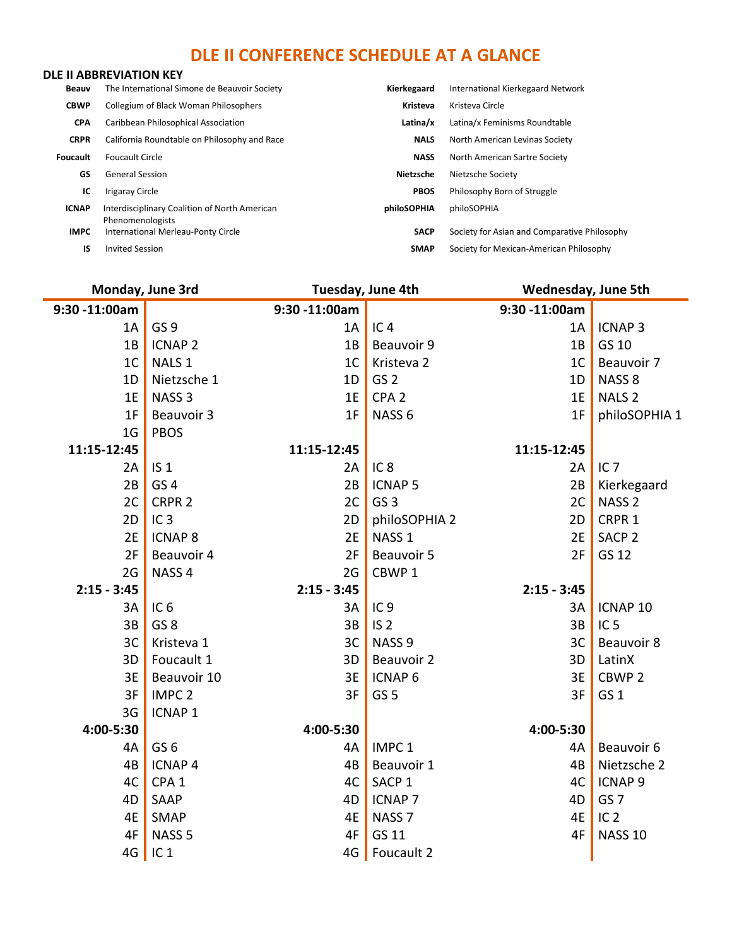### **DLE II CONFERENCE SCHEDULE AT A GLANCE**

#### **DLE II ABBREVIATION KEY**

| Beauv           | The International Simone de Beauvoir Society                      | Kierkegaard | International Kierkegaard Network            |
|-----------------|-------------------------------------------------------------------|-------------|----------------------------------------------|
| <b>CBWP</b>     | <b>Collegium of Black Woman Philosophers</b>                      | Kristeva    | Kristeva Circle                              |
| <b>CPA</b>      | Caribbean Philosophical Association                               | Latina/x    | Latina/x Feminisms Roundtable                |
| <b>CRPR</b>     | California Roundtable on Philosophy and Race                      | <b>NALS</b> | North American Levinas Society               |
| <b>Foucault</b> | <b>Foucault Circle</b>                                            | <b>NASS</b> | North American Sartre Society                |
| GS.             | <b>General Session</b>                                            | Nietzsche   | Nietzsche Society                            |
| ТC              | <b>Irigaray Circle</b>                                            | <b>PBOS</b> | Philosophy Born of Struggle                  |
| <b>ICNAP</b>    | Interdisciplinary Coalition of North American<br>Phenomenologists | philoSOPHIA | philoSOPHIA                                  |
| <b>IMPC</b>     | International Merleau-Ponty Circle                                | <b>SACP</b> | Society for Asian and Comparative Philosophy |
| IS              | <b>Invited Session</b>                                            | <b>SMAP</b> | Society for Mexican-American Philosophy      |

| Monday, June 3rd |                   | Tuesday, June 4th |                   | <b>Wednesday, June 5th</b> |                    |
|------------------|-------------------|-------------------|-------------------|----------------------------|--------------------|
| 9:30 -11:00am    |                   | 9:30 -11:00am     |                   | 9:30 -11:00am              |                    |
| 1A               | GS <sub>9</sub>   | 1A                | IC <sub>4</sub>   | 1A                         | <b>ICNAP3</b>      |
| 1B               | <b>ICNAP 2</b>    | 1B                | Beauvoir 9        | 1B                         | GS 10              |
| 1 <sup>C</sup>   | NALS <sub>1</sub> | 1 <sup>C</sup>    | Kristeva 2        | 1 <sup>C</sup>             | Beauvoir 7         |
| 1D               | Nietzsche 1       | 1D                | GS <sub>2</sub>   | 1D                         | NASS <sub>8</sub>  |
| 1E               | NASS <sub>3</sub> | 1E                | CPA <sub>2</sub>  | 1E                         | NALS <sub>2</sub>  |
| 1F               | Beauvoir 3        | 1F                | NASS <sub>6</sub> | 1F                         | philoSOPHIA 1      |
| 1 <sub>G</sub>   | <b>PBOS</b>       |                   |                   |                            |                    |
| 11:15-12:45      |                   | 11:15-12:45       |                   | 11:15-12:45                |                    |
| 2A               | IS <sub>1</sub>   | 2A                | IC <sub>8</sub>   | 2A                         | IC <sub>7</sub>    |
| 2B               | GS <sub>4</sub>   | 2B                | <b>ICNAP 5</b>    | 2B                         | Kierkegaard        |
| 2C               | CRPR <sub>2</sub> | 2C                | GS <sub>3</sub>   | 2C                         | NASS <sub>2</sub>  |
| 2D               | IC <sub>3</sub>   | 2D                | philoSOPHIA 2     | 2D                         | CRPR 1             |
| 2E               | <b>ICNAP 8</b>    | 2E                | NASS <sub>1</sub> | 2E                         | SACP <sub>2</sub>  |
| 2F               | Beauvoir 4        | 2F                | Beauvoir 5        | 2F                         | GS 12              |
| 2G               | NASS <sub>4</sub> | 2G                | CBWP <sub>1</sub> |                            |                    |
| $2:15 - 3:45$    |                   | $2:15 - 3:45$     |                   | $2:15 - 3:45$              |                    |
| 3A               | IC <sub>6</sub>   | 3A                | IC <sub>9</sub>   | 3A                         | ICNAP 10           |
| 3B               | GS <sub>8</sub>   | 3B                | IS <sub>2</sub>   | 3B                         | IC <sub>5</sub>    |
| 3C               | Kristeva 1        | 3C                | NASS <sub>9</sub> | 3C                         | Beauvoir 8         |
| 3D               | Foucault 1        | 3D                | Beauvoir 2        | 3D                         | LatinX             |
| 3E               | Beauvoir 10       | 3E                | <b>ICNAP 6</b>    | 3E                         | CBWP <sub>2</sub>  |
| 3F               | IMPC <sub>2</sub> | 3F                | GS <sub>5</sub>   | 3F                         | GS <sub>1</sub>    |
| 3G               | <b>ICNAP1</b>     |                   |                   |                            |                    |
| 4:00-5:30        |                   | 4:00-5:30         |                   | 4:00-5:30                  |                    |
| 4A               | GS <sub>6</sub>   | 4A                | IMPC <sub>1</sub> | 4A                         | Beauvoir 6         |
| 4B               | <b>ICNAP4</b>     | 4B                | Beauvoir 1        | 4B                         | Nietzsche 2        |
| 4C               | CPA <sub>1</sub>  | 4C                | SACP <sub>1</sub> | 4C                         | ICNAP <sub>9</sub> |
| 4D               | SAAP              | 4D                | <b>ICNAP 7</b>    | 4D                         | GS <sub>7</sub>    |
| 4E               | SMAP              | 4E                | NASS <sub>7</sub> | 4E                         | IC <sub>2</sub>    |
| 4F               | NASS <sub>5</sub> | 4F                | GS 11             | 4F                         | <b>NASS 10</b>     |
| 4G               | IC <sub>1</sub>   | 4G                | Foucault 2        |                            |                    |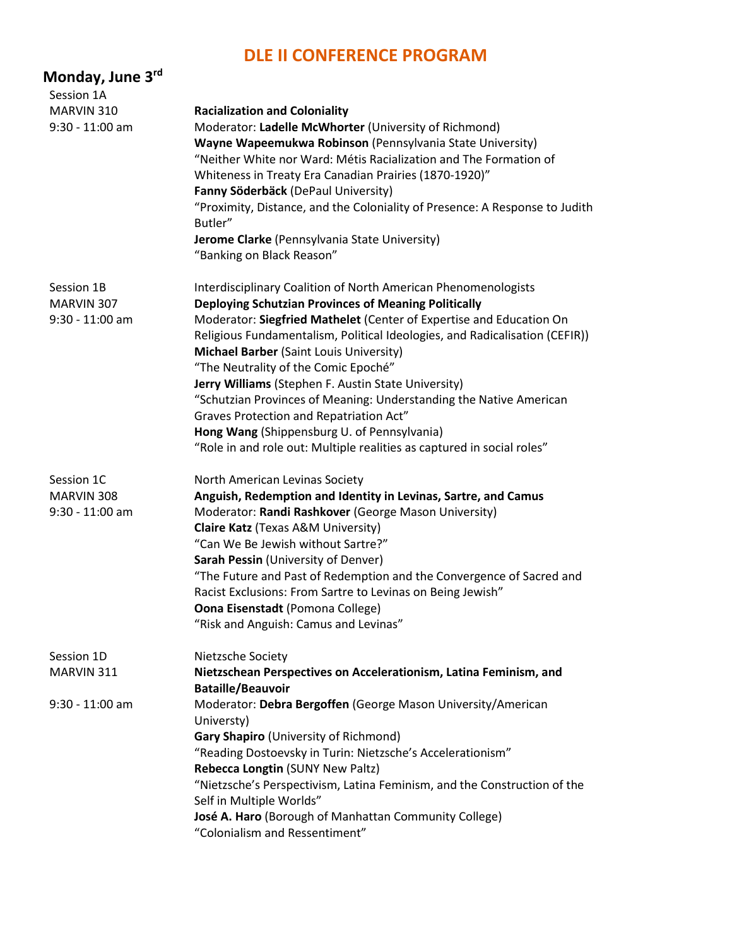#### **DLE II CONFERENCE PROGRAM**

| Monday, June 3 <sup>rd</sup>                  |                                                                                                                                                                                                                                                                                                                                                                                                                                                                                                                                                                                                                                                                  |
|-----------------------------------------------|------------------------------------------------------------------------------------------------------------------------------------------------------------------------------------------------------------------------------------------------------------------------------------------------------------------------------------------------------------------------------------------------------------------------------------------------------------------------------------------------------------------------------------------------------------------------------------------------------------------------------------------------------------------|
| Session 1A                                    |                                                                                                                                                                                                                                                                                                                                                                                                                                                                                                                                                                                                                                                                  |
| MARVIN 310<br>$9:30 - 11:00$ am               | <b>Racialization and Coloniality</b><br>Moderator: Ladelle McWhorter (University of Richmond)<br>Wayne Wapeemukwa Robinson (Pennsylvania State University)<br>"Neither White nor Ward: Métis Racialization and The Formation of<br>Whiteness in Treaty Era Canadian Prairies (1870-1920)"<br>Fanny Söderbäck (DePaul University)<br>"Proximity, Distance, and the Coloniality of Presence: A Response to Judith<br>Butler"<br>Jerome Clarke (Pennsylvania State University)<br>"Banking on Black Reason"                                                                                                                                                         |
| Session 1B<br>MARVIN 307<br>$9:30 - 11:00$ am | Interdisciplinary Coalition of North American Phenomenologists<br>Deploying Schutzian Provinces of Meaning Politically<br>Moderator: Siegfried Mathelet (Center of Expertise and Education On<br>Religious Fundamentalism, Political Ideologies, and Radicalisation (CEFIR))<br>Michael Barber (Saint Louis University)<br>"The Neutrality of the Comic Epoché"<br>Jerry Williams (Stephen F. Austin State University)<br>"Schutzian Provinces of Meaning: Understanding the Native American<br>Graves Protection and Repatriation Act"<br>Hong Wang (Shippensburg U. of Pennsylvania)<br>"Role in and role out: Multiple realities as captured in social roles" |
| Session 1C<br>MARVIN 308<br>$9:30 - 11:00$ am | North American Levinas Society<br>Anguish, Redemption and Identity in Levinas, Sartre, and Camus<br>Moderator: Randi Rashkover (George Mason University)<br><b>Claire Katz</b> (Texas A&M University)<br>"Can We Be Jewish without Sartre?"<br>Sarah Pessin (University of Denver)<br>"The Future and Past of Redemption and the Convergence of Sacred and<br>Racist Exclusions: From Sartre to Levinas on Being Jewish"<br><b>Oona Eisenstadt</b> (Pomona College)<br>"Risk and Anguish: Camus and Levinas"                                                                                                                                                     |
| Session 1D<br>MARVIN 311                      | Nietzsche Society<br>Nietzschean Perspectives on Accelerationism, Latina Feminism, and                                                                                                                                                                                                                                                                                                                                                                                                                                                                                                                                                                           |
| $9:30 - 11:00$ am                             | <b>Bataille/Beauvoir</b><br>Moderator: Debra Bergoffen (George Mason University/American<br>Universty)<br>Gary Shapiro (University of Richmond)<br>"Reading Dostoevsky in Turin: Nietzsche's Accelerationism"<br>Rebecca Longtin (SUNY New Paltz)<br>"Nietzsche's Perspectivism, Latina Feminism, and the Construction of the<br>Self in Multiple Worlds"<br>José A. Haro (Borough of Manhattan Community College)<br>"Colonialism and Ressentiment"                                                                                                                                                                                                             |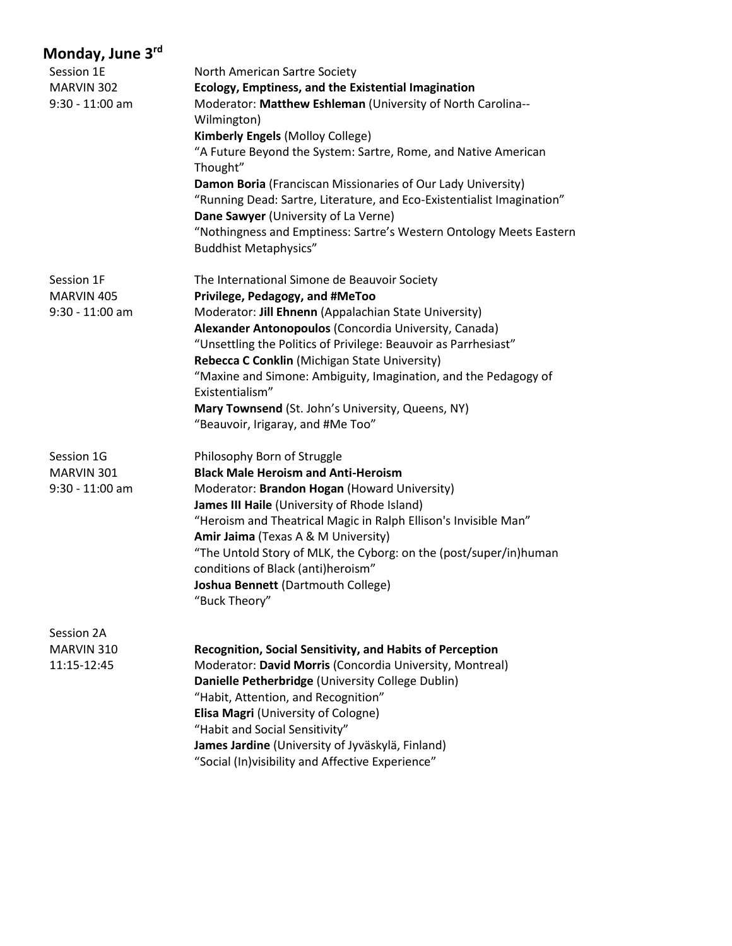| Session 1E        | North American Sartre Society                                          |
|-------------------|------------------------------------------------------------------------|
| MARVIN 302        | Ecology, Emptiness, and the Existential Imagination                    |
| $9:30 - 11:00$ am | Moderator: Matthew Eshleman (University of North Carolina--            |
|                   | Wilmington)                                                            |
|                   | Kimberly Engels (Molloy College)                                       |
|                   | "A Future Beyond the System: Sartre, Rome, and Native American         |
|                   | Thought"                                                               |
|                   | Damon Boria (Franciscan Missionaries of Our Lady University)           |
|                   | "Running Dead: Sartre, Literature, and Eco-Existentialist Imagination" |
|                   | Dane Sawyer (University of La Verne)                                   |
|                   | "Nothingness and Emptiness: Sartre's Western Ontology Meets Eastern    |
|                   | <b>Buddhist Metaphysics"</b>                                           |
| Session 1F        | The International Simone de Beauvoir Society                           |
| MARVIN 405        | Privilege, Pedagogy, and #MeToo                                        |
| $9:30 - 11:00$ am | Moderator: Jill Ehnenn (Appalachian State University)                  |
|                   | Alexander Antonopoulos (Concordia University, Canada)                  |
|                   | "Unsettling the Politics of Privilege: Beauvoir as Parrhesiast"        |
|                   | Rebecca C Conklin (Michigan State University)                          |
|                   | "Maxine and Simone: Ambiguity, Imagination, and the Pedagogy of        |
|                   | Existentialism"                                                        |
|                   | Mary Townsend (St. John's University, Queens, NY)                      |
|                   | "Beauvoir, Irigaray, and #Me Too"                                      |
| Session 1G        | Philosophy Born of Struggle                                            |
| MARVIN 301        | <b>Black Male Heroism and Anti-Heroism</b>                             |
| $9:30 - 11:00$ am | Moderator: Brandon Hogan (Howard University)                           |
|                   | James III Haile (University of Rhode Island)                           |
|                   | "Heroism and Theatrical Magic in Ralph Ellison's Invisible Man"        |
|                   | Amir Jaima (Texas A & M University)                                    |
|                   | "The Untold Story of MLK, the Cyborg: on the (post/super/in)human      |
|                   | conditions of Black (anti)heroism"                                     |
|                   | Joshua Bennett (Dartmouth College)                                     |
|                   | "Buck Theory"                                                          |
| Session 2A        |                                                                        |
| MARVIN 310        | Recognition, Social Sensitivity, and Habits of Perception              |
| 11:15-12:45       | Moderator: David Morris (Concordia University, Montreal)               |
|                   | Danielle Petherbridge (University College Dublin)                      |
|                   | "Habit, Attention, and Recognition"                                    |
|                   | Elisa Magri (University of Cologne)                                    |
|                   | "Habit and Social Sensitivity"                                         |
|                   | James Jardine (University of Jyväskylä, Finland)                       |
|                   | "Social (In) visibility and Affective Experience"                      |
|                   |                                                                        |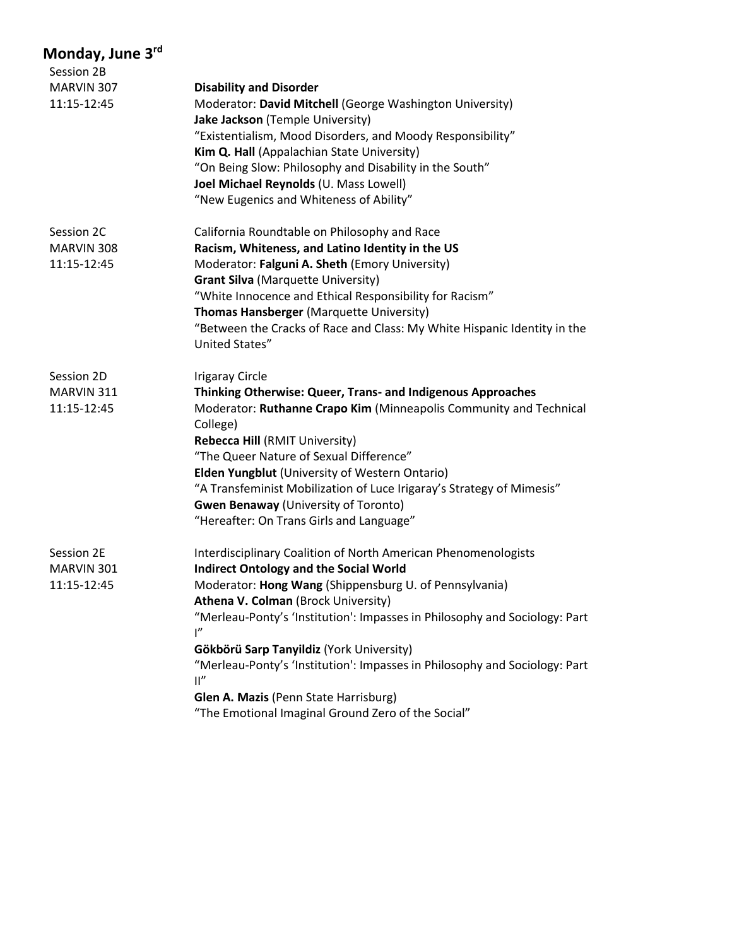| Session 2B  |                                                                                              |
|-------------|----------------------------------------------------------------------------------------------|
| MARVIN 307  | <b>Disability and Disorder</b>                                                               |
| 11:15-12:45 | Moderator: David Mitchell (George Washington University)                                     |
|             | Jake Jackson (Temple University)                                                             |
|             | "Existentialism, Mood Disorders, and Moody Responsibility"                                   |
|             | Kim Q. Hall (Appalachian State University)                                                   |
|             | "On Being Slow: Philosophy and Disability in the South"                                      |
|             | Joel Michael Reynolds (U. Mass Lowell)                                                       |
|             | "New Eugenics and Whiteness of Ability"                                                      |
| Session 2C  | California Roundtable on Philosophy and Race                                                 |
| MARVIN 308  | Racism, Whiteness, and Latino Identity in the US                                             |
| 11:15-12:45 | Moderator: Falguni A. Sheth (Emory University)                                               |
|             | <b>Grant Silva (Marquette University)</b>                                                    |
|             | "White Innocence and Ethical Responsibility for Racism"                                      |
|             | Thomas Hansberger (Marquette University)                                                     |
|             | "Between the Cracks of Race and Class: My White Hispanic Identity in the<br>United States"   |
| Session 2D  | <b>Irigaray Circle</b>                                                                       |
| MARVIN 311  | Thinking Otherwise: Queer, Trans- and Indigenous Approaches                                  |
| 11:15-12:45 | Moderator: Ruthanne Crapo Kim (Minneapolis Community and Technical<br>College)               |
|             | Rebecca Hill (RMIT University)                                                               |
|             | "The Queer Nature of Sexual Difference"                                                      |
|             | Elden Yungblut (University of Western Ontario)                                               |
|             | "A Transfeminist Mobilization of Luce Irigaray's Strategy of Mimesis"                        |
|             | <b>Gwen Benaway (University of Toronto)</b>                                                  |
|             | "Hereafter: On Trans Girls and Language"                                                     |
| Session 2E  | Interdisciplinary Coalition of North American Phenomenologists                               |
| MARVIN 301  | <b>Indirect Ontology and the Social World</b>                                                |
| 11:15-12:45 | Moderator: Hong Wang (Shippensburg U. of Pennsylvania)                                       |
|             | Athena V. Colman (Brock University)                                                          |
|             | "Merleau-Ponty's 'Institution': Impasses in Philosophy and Sociology: Part<br>ľ"             |
|             | Gökbörü Sarp Tanyildiz (York University)                                                     |
|             | "Merleau-Ponty's 'Institution': Impasses in Philosophy and Sociology: Part<br>$\mathbb{I}''$ |
|             | Glen A. Mazis (Penn State Harrisburg)                                                        |
|             | "The Emotional Imaginal Ground Zero of the Social"                                           |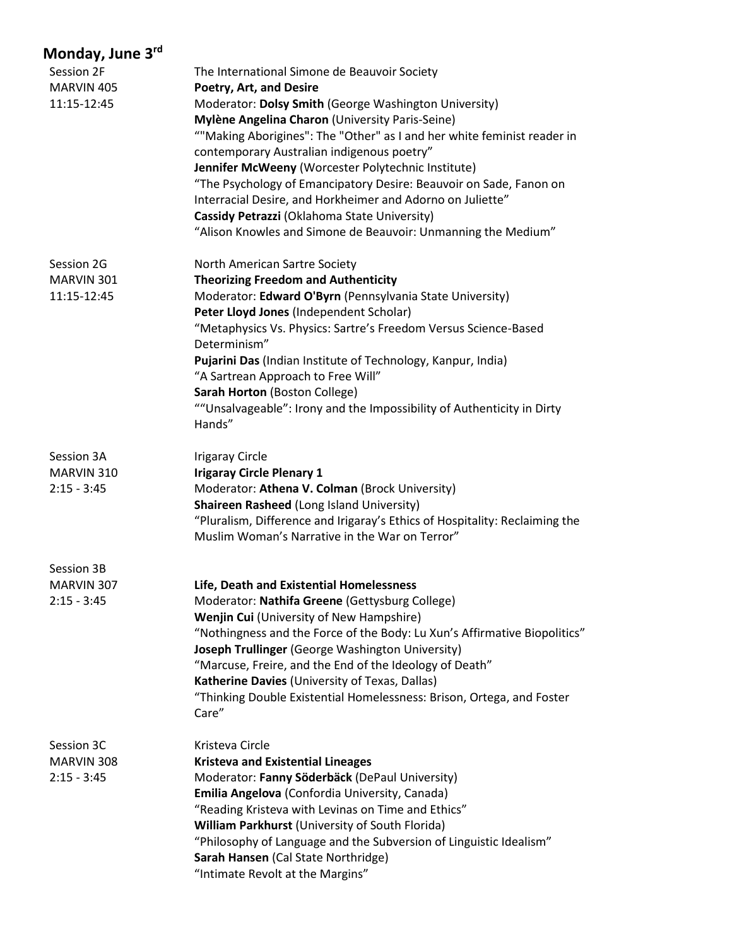| Session 2F<br>MARVIN 405<br>11:15-12:45   | The International Simone de Beauvoir Society<br>Poetry, Art, and Desire<br>Moderator: Dolsy Smith (George Washington University)<br>Mylène Angelina Charon (University Paris-Seine)<br>""Making Aborigines": The "Other" as I and her white feminist reader in<br>contemporary Australian indigenous poetry"<br>Jennifer McWeeny (Worcester Polytechnic Institute)<br>"The Psychology of Emancipatory Desire: Beauvoir on Sade, Fanon on<br>Interracial Desire, and Horkheimer and Adorno on Juliette"<br>Cassidy Petrazzi (Oklahoma State University)            |
|-------------------------------------------|-------------------------------------------------------------------------------------------------------------------------------------------------------------------------------------------------------------------------------------------------------------------------------------------------------------------------------------------------------------------------------------------------------------------------------------------------------------------------------------------------------------------------------------------------------------------|
| Session 2G<br>MARVIN 301<br>11:15-12:45   | "Alison Knowles and Simone de Beauvoir: Unmanning the Medium"<br>North American Sartre Society<br><b>Theorizing Freedom and Authenticity</b><br>Moderator: Edward O'Byrn (Pennsylvania State University)<br>Peter Lloyd Jones (Independent Scholar)<br>"Metaphysics Vs. Physics: Sartre's Freedom Versus Science-Based<br>Determinism"<br>Pujarini Das (Indian Institute of Technology, Kanpur, India)<br>"A Sartrean Approach to Free Will"<br>Sarah Horton (Boston College)<br>""Unsalvageable": Irony and the Impossibility of Authenticity in Dirty<br>Hands" |
| Session 3A<br>MARVIN 310<br>$2:15 - 3:45$ | <b>Irigaray Circle</b><br><b>Irigaray Circle Plenary 1</b><br>Moderator: Athena V. Colman (Brock University)<br>Shaireen Rasheed (Long Island University)<br>"Pluralism, Difference and Irigaray's Ethics of Hospitality: Reclaiming the<br>Muslim Woman's Narrative in the War on Terror"                                                                                                                                                                                                                                                                        |
| Session 3B<br>MARVIN 307<br>$2:15 - 3:45$ | Life, Death and Existential Homelessness<br>Moderator: Nathifa Greene (Gettysburg College)<br>Wenjin Cui (University of New Hampshire)<br>"Nothingness and the Force of the Body: Lu Xun's Affirmative Biopolitics"<br>Joseph Trullinger (George Washington University)<br>"Marcuse, Freire, and the End of the Ideology of Death"<br>Katherine Davies (University of Texas, Dallas)<br>"Thinking Double Existential Homelessness: Brison, Ortega, and Foster<br>Care"                                                                                            |
| Session 3C<br>MARVIN 308<br>$2:15 - 3:45$ | Kristeva Circle<br><b>Kristeva and Existential Lineages</b><br>Moderator: Fanny Söderbäck (DePaul University)<br>Emilia Angelova (Confordia University, Canada)<br>"Reading Kristeva with Levinas on Time and Ethics"<br>William Parkhurst (University of South Florida)<br>"Philosophy of Language and the Subversion of Linguistic Idealism"<br>Sarah Hansen (Cal State Northridge)<br>"Intimate Revolt at the Margins"                                                                                                                                         |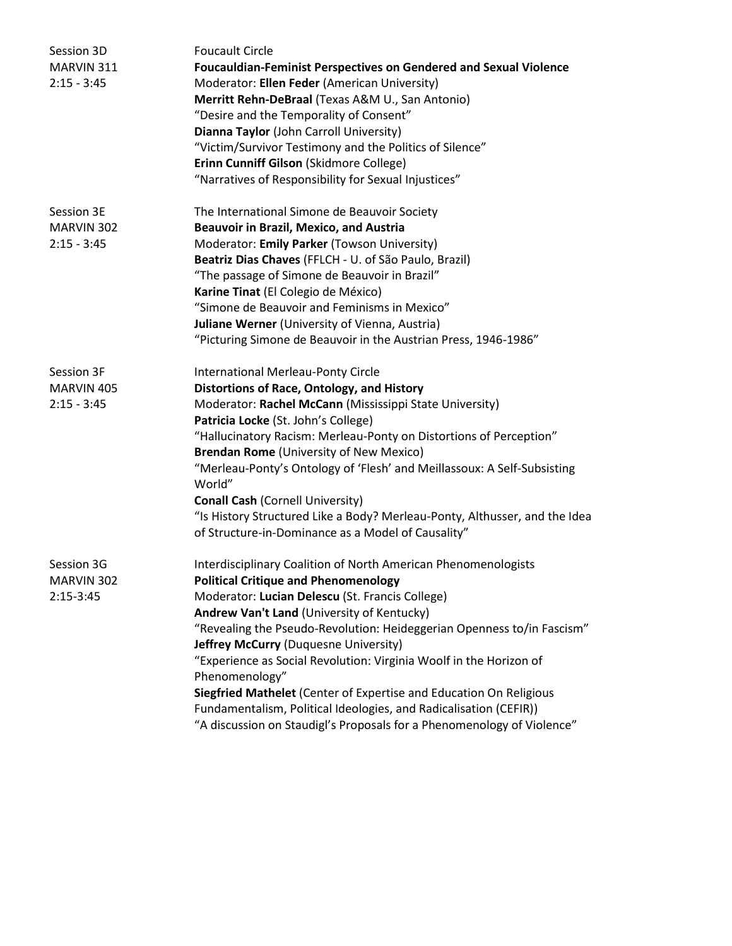| Session 3D<br>MARVIN 311<br>$2:15 - 3:45$ | <b>Foucault Circle</b><br><b>Foucauldian-Feminist Perspectives on Gendered and Sexual Violence</b><br>Moderator: Ellen Feder (American University)<br>Merritt Rehn-DeBraal (Texas A&M U., San Antonio)<br>"Desire and the Temporality of Consent"<br>Dianna Taylor (John Carroll University)<br>"Victim/Survivor Testimony and the Politics of Silence"<br>Erinn Cunniff Gilson (Skidmore College)<br>"Narratives of Responsibility for Sexual Injustices" |
|-------------------------------------------|------------------------------------------------------------------------------------------------------------------------------------------------------------------------------------------------------------------------------------------------------------------------------------------------------------------------------------------------------------------------------------------------------------------------------------------------------------|
| Session 3E<br>MARVIN 302                  | The International Simone de Beauvoir Society<br><b>Beauvoir in Brazil, Mexico, and Austria</b>                                                                                                                                                                                                                                                                                                                                                             |
| $2:15 - 3:45$                             | Moderator: Emily Parker (Towson University)                                                                                                                                                                                                                                                                                                                                                                                                                |
|                                           | Beatriz Dias Chaves (FFLCH - U. of São Paulo, Brazil)                                                                                                                                                                                                                                                                                                                                                                                                      |
|                                           | "The passage of Simone de Beauvoir in Brazil"                                                                                                                                                                                                                                                                                                                                                                                                              |
|                                           | Karine Tinat (El Colegio de México)                                                                                                                                                                                                                                                                                                                                                                                                                        |
|                                           | "Simone de Beauvoir and Feminisms in Mexico"                                                                                                                                                                                                                                                                                                                                                                                                               |
|                                           | Juliane Werner (University of Vienna, Austria)                                                                                                                                                                                                                                                                                                                                                                                                             |
|                                           | "Picturing Simone de Beauvoir in the Austrian Press, 1946-1986"                                                                                                                                                                                                                                                                                                                                                                                            |
| Session 3F                                | <b>International Merleau-Ponty Circle</b>                                                                                                                                                                                                                                                                                                                                                                                                                  |
| MARVIN 405                                | Distortions of Race, Ontology, and History                                                                                                                                                                                                                                                                                                                                                                                                                 |
| $2:15 - 3:45$                             | Moderator: Rachel McCann (Mississippi State University)                                                                                                                                                                                                                                                                                                                                                                                                    |
|                                           | Patricia Locke (St. John's College)                                                                                                                                                                                                                                                                                                                                                                                                                        |
|                                           | "Hallucinatory Racism: Merleau-Ponty on Distortions of Perception"                                                                                                                                                                                                                                                                                                                                                                                         |
|                                           | Brendan Rome (University of New Mexico)                                                                                                                                                                                                                                                                                                                                                                                                                    |
|                                           | "Merleau-Ponty's Ontology of 'Flesh' and Meillassoux: A Self-Subsisting<br>World"                                                                                                                                                                                                                                                                                                                                                                          |
|                                           | <b>Conall Cash (Cornell University)</b>                                                                                                                                                                                                                                                                                                                                                                                                                    |
|                                           | "Is History Structured Like a Body? Merleau-Ponty, Althusser, and the Idea                                                                                                                                                                                                                                                                                                                                                                                 |
|                                           | of Structure-in-Dominance as a Model of Causality"                                                                                                                                                                                                                                                                                                                                                                                                         |
| Session 3G                                | Interdisciplinary Coalition of North American Phenomenologists                                                                                                                                                                                                                                                                                                                                                                                             |
| MARVIN 302                                | <b>Political Critique and Phenomenology</b>                                                                                                                                                                                                                                                                                                                                                                                                                |
| $2:15-3:45$                               | Moderator: Lucian Delescu (St. Francis College)                                                                                                                                                                                                                                                                                                                                                                                                            |
|                                           | Andrew Van't Land (University of Kentucky)                                                                                                                                                                                                                                                                                                                                                                                                                 |
|                                           | "Revealing the Pseudo-Revolution: Heideggerian Openness to/in Fascism"<br>Jeffrey McCurry (Duquesne University)                                                                                                                                                                                                                                                                                                                                            |
|                                           | "Experience as Social Revolution: Virginia Woolf in the Horizon of                                                                                                                                                                                                                                                                                                                                                                                         |
|                                           | Phenomenology"                                                                                                                                                                                                                                                                                                                                                                                                                                             |
|                                           | Siegfried Mathelet (Center of Expertise and Education On Religious                                                                                                                                                                                                                                                                                                                                                                                         |
|                                           | Fundamentalism, Political Ideologies, and Radicalisation (CEFIR))                                                                                                                                                                                                                                                                                                                                                                                          |
|                                           | "A discussion on Staudigl's Proposals for a Phenomenology of Violence"                                                                                                                                                                                                                                                                                                                                                                                     |
|                                           |                                                                                                                                                                                                                                                                                                                                                                                                                                                            |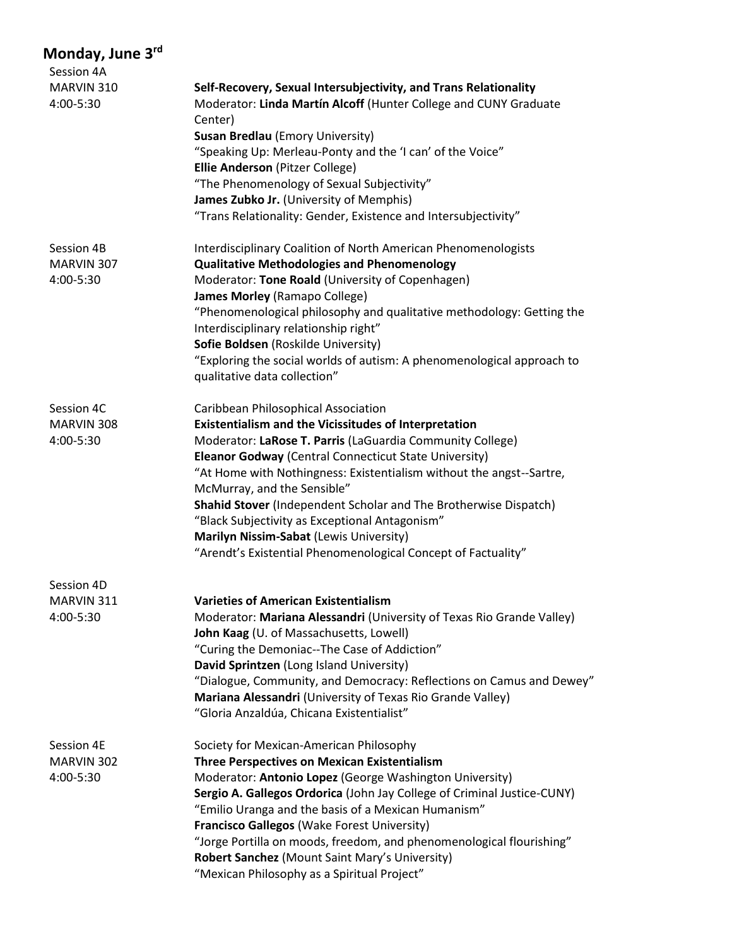| Session 4A              |                                                                                                                                                                                            |
|-------------------------|--------------------------------------------------------------------------------------------------------------------------------------------------------------------------------------------|
| MARVIN 310<br>4:00-5:30 | Self-Recovery, Sexual Intersubjectivity, and Trans Relationality<br>Moderator: Linda Martín Alcoff (Hunter College and CUNY Graduate<br>Center)<br><b>Susan Bredlau (Emory University)</b> |
|                         |                                                                                                                                                                                            |
|                         | "Speaking Up: Merleau-Ponty and the 'I can' of the Voice"<br>Ellie Anderson (Pitzer College)                                                                                               |
|                         | "The Phenomenology of Sexual Subjectivity"                                                                                                                                                 |
|                         | James Zubko Jr. (University of Memphis)                                                                                                                                                    |
|                         | "Trans Relationality: Gender, Existence and Intersubjectivity"                                                                                                                             |
| Session 4B              | Interdisciplinary Coalition of North American Phenomenologists                                                                                                                             |
| MARVIN 307              | <b>Qualitative Methodologies and Phenomenology</b>                                                                                                                                         |
| 4:00-5:30               | Moderator: Tone Roald (University of Copenhagen)<br>James Morley (Ramapo College)                                                                                                          |
|                         | "Phenomenological philosophy and qualitative methodology: Getting the<br>Interdisciplinary relationship right"                                                                             |
|                         | Sofie Boldsen (Roskilde University)                                                                                                                                                        |
|                         | "Exploring the social worlds of autism: A phenomenological approach to<br>qualitative data collection"                                                                                     |
| Session 4C              | Caribbean Philosophical Association                                                                                                                                                        |
| MARVIN 308              | <b>Existentialism and the Vicissitudes of Interpretation</b>                                                                                                                               |
| 4:00-5:30               | Moderator: LaRose T. Parris (LaGuardia Community College)                                                                                                                                  |
|                         | Eleanor Godway (Central Connecticut State University)                                                                                                                                      |
|                         | "At Home with Nothingness: Existentialism without the angst--Sartre,                                                                                                                       |
|                         | McMurray, and the Sensible"                                                                                                                                                                |
|                         | Shahid Stover (Independent Scholar and The Brotherwise Dispatch)                                                                                                                           |
|                         | "Black Subjectivity as Exceptional Antagonism"                                                                                                                                             |
|                         | Marilyn Nissim-Sabat (Lewis University)<br>"Arendt's Existential Phenomenological Concept of Factuality"                                                                                   |
| Session 4D              |                                                                                                                                                                                            |
| MARVIN 311              | <b>Varieties of American Existentialism</b>                                                                                                                                                |
| 4:00-5:30               | Moderator: Mariana Alessandri (University of Texas Rio Grande Valley)<br>John Kaag (U. of Massachusetts, Lowell)                                                                           |
|                         | "Curing the Demoniac--The Case of Addiction"                                                                                                                                               |
|                         | David Sprintzen (Long Island University)                                                                                                                                                   |
|                         | "Dialogue, Community, and Democracy: Reflections on Camus and Dewey"                                                                                                                       |
|                         | Mariana Alessandri (University of Texas Rio Grande Valley)<br>"Gloria Anzaldúa, Chicana Existentialist"                                                                                    |
| Session 4E              | Society for Mexican-American Philosophy                                                                                                                                                    |
| MARVIN 302              | <b>Three Perspectives on Mexican Existentialism</b>                                                                                                                                        |
| 4:00-5:30               | Moderator: Antonio Lopez (George Washington University)                                                                                                                                    |
|                         | Sergio A. Gallegos Ordorica (John Jay College of Criminal Justice-CUNY)                                                                                                                    |
|                         | "Emilio Uranga and the basis of a Mexican Humanism"                                                                                                                                        |
|                         | Francisco Gallegos (Wake Forest University)                                                                                                                                                |
|                         | "Jorge Portilla on moods, freedom, and phenomenological flourishing"                                                                                                                       |
|                         | Robert Sanchez (Mount Saint Mary's University)<br>"Mexican Philosophy as a Spiritual Project"                                                                                              |
|                         |                                                                                                                                                                                            |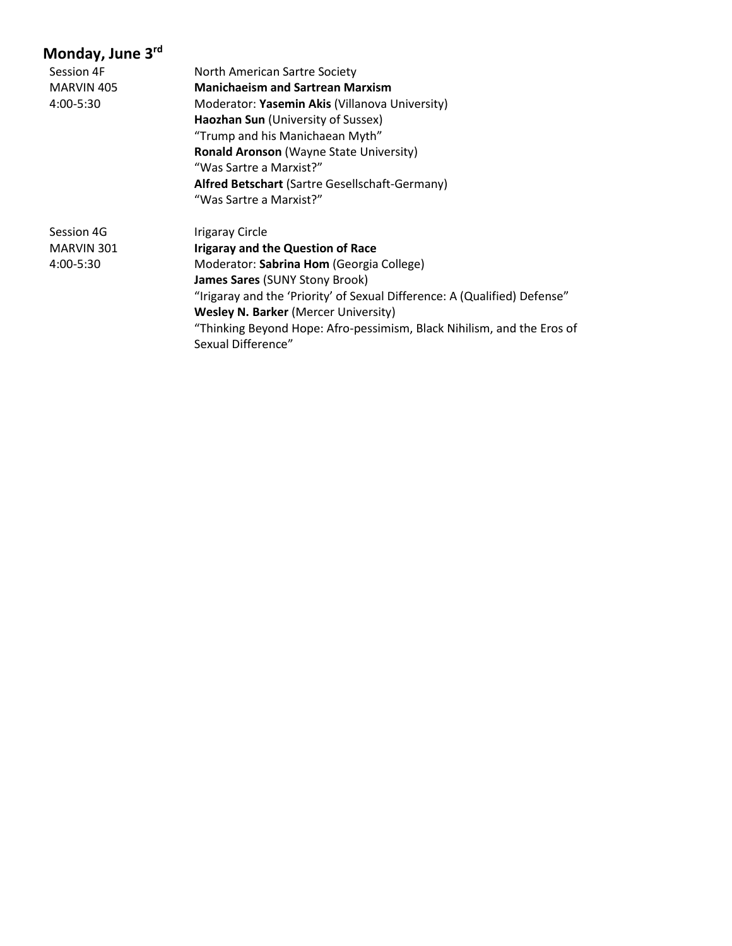| Session 4F | North American Sartre Society                                                                |
|------------|----------------------------------------------------------------------------------------------|
| MARVIN 405 | <b>Manichaeism and Sartrean Marxism</b>                                                      |
| 4:00-5:30  | Moderator: Yasemin Akis (Villanova University)                                               |
|            | Haozhan Sun (University of Sussex)                                                           |
|            | "Trump and his Manichaean Myth"                                                              |
|            | <b>Ronald Aronson (Wayne State University)</b>                                               |
|            | "Was Sartre a Marxist?"                                                                      |
|            | <b>Alfred Betschart (Sartre Gesellschaft-Germany)</b>                                        |
|            | "Was Sartre a Marxist?"                                                                      |
| Session 4G | <b>Irigaray Circle</b>                                                                       |
| MARVIN 301 | <b>Irigaray and the Question of Race</b>                                                     |
| 4:00-5:30  | Moderator: Sabrina Hom (Georgia College)                                                     |
|            | <b>James Sares (SUNY Stony Brook)</b>                                                        |
|            | "Irigaray and the 'Priority' of Sexual Difference: A (Qualified) Defense"                    |
|            | <b>Wesley N. Barker (Mercer University)</b>                                                  |
|            | "Thinking Beyond Hope: Afro-pessimism, Black Nihilism, and the Eros of<br>Sexual Difference" |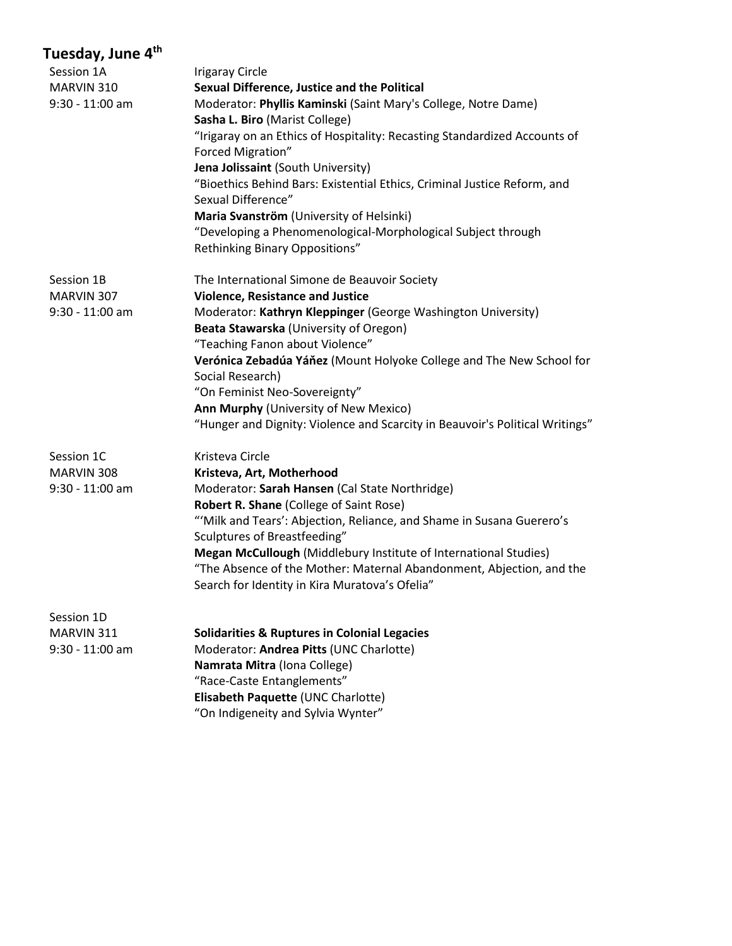| Session 1A        | <b>Irigaray Circle</b>                                                       |
|-------------------|------------------------------------------------------------------------------|
| MARVIN 310        | Sexual Difference, Justice and the Political                                 |
| $9:30 - 11:00$ am | Moderator: Phyllis Kaminski (Saint Mary's College, Notre Dame)               |
|                   | Sasha L. Biro (Marist College)                                               |
|                   | "Irigaray on an Ethics of Hospitality: Recasting Standardized Accounts of    |
|                   | Forced Migration"                                                            |
|                   | Jena Jolissaint (South University)                                           |
|                   | "Bioethics Behind Bars: Existential Ethics, Criminal Justice Reform, and     |
|                   | Sexual Difference"                                                           |
|                   | Maria Svanström (University of Helsinki)                                     |
|                   | "Developing a Phenomenological-Morphological Subject through                 |
|                   | Rethinking Binary Oppositions"                                               |
| Session 1B        | The International Simone de Beauvoir Society                                 |
| MARVIN 307        | <b>Violence, Resistance and Justice</b>                                      |
| 9:30 - 11:00 am   | Moderator: Kathryn Kleppinger (George Washington University)                 |
|                   | Beata Stawarska (University of Oregon)                                       |
|                   | "Teaching Fanon about Violence"                                              |
|                   | Verónica Zebadúa Yáňez (Mount Holyoke College and The New School for         |
|                   | Social Research)                                                             |
|                   | "On Feminist Neo-Sovereignty"                                                |
|                   | Ann Murphy (University of New Mexico)                                        |
|                   | "Hunger and Dignity: Violence and Scarcity in Beauvoir's Political Writings" |
| Session 1C        | Kristeva Circle                                                              |
| MARVIN 308        | Kristeva, Art, Motherhood                                                    |
| $9:30 - 11:00$ am | Moderator: Sarah Hansen (Cal State Northridge)                               |
|                   | Robert R. Shane (College of Saint Rose)                                      |
|                   | "'Milk and Tears': Abjection, Reliance, and Shame in Susana Guerero's        |
|                   | Sculptures of Breastfeeding"                                                 |
|                   | Megan McCullough (Middlebury Institute of International Studies)             |
|                   | "The Absence of the Mother: Maternal Abandonment, Abjection, and the         |
|                   | Search for Identity in Kira Muratova's Ofelia"                               |
| Session 1D        |                                                                              |
| MARVIN 311        | <b>Solidarities &amp; Ruptures in Colonial Legacies</b>                      |
| $9:30 - 11:00$ am | Moderator: Andrea Pitts (UNC Charlotte)                                      |
|                   | Namrata Mitra (Iona College)                                                 |
|                   | "Race-Caste Entanglements"                                                   |
|                   | Elisabeth Paquette (UNC Charlotte)                                           |

"On Indigeneity and Sylvia Wynter"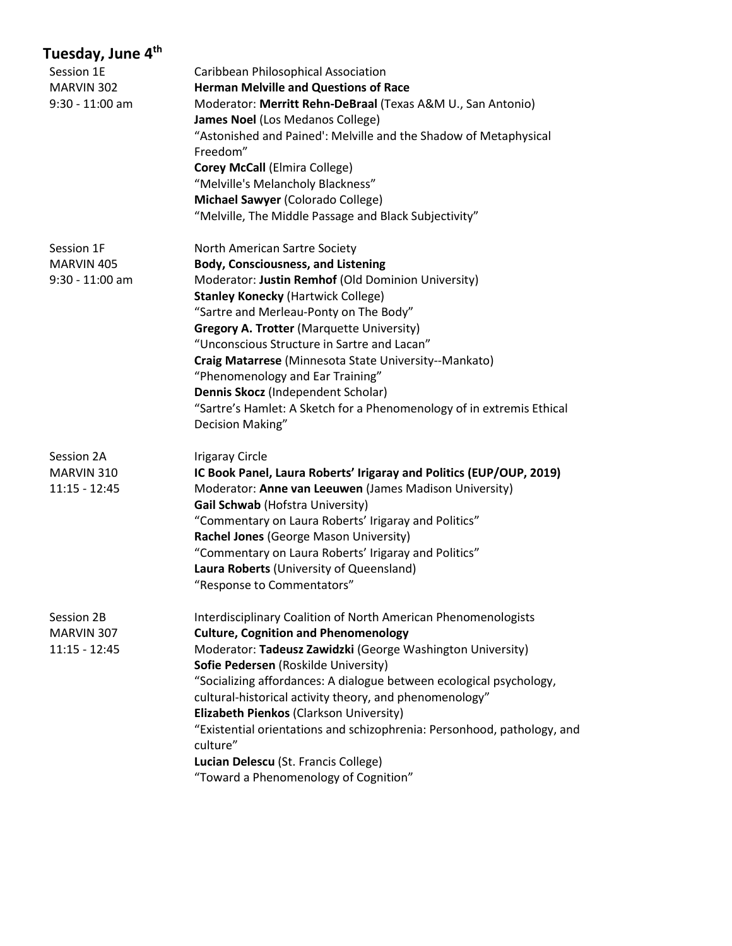| Tuesday, June 4 <sup>th</sup> |                                                                         |
|-------------------------------|-------------------------------------------------------------------------|
| Session 1E                    | Caribbean Philosophical Association                                     |
| MARVIN 302                    | <b>Herman Melville and Questions of Race</b>                            |
| $9:30 - 11:00$ am             | Moderator: Merritt Rehn-DeBraal (Texas A&M U., San Antonio)             |
|                               | James Noel (Los Medanos College)                                        |
|                               | "Astonished and Pained': Melville and the Shadow of Metaphysical        |
|                               | Freedom"                                                                |
|                               | <b>Corey McCall (Elmira College)</b>                                    |
|                               | "Melville's Melancholy Blackness"                                       |
|                               | Michael Sawyer (Colorado College)                                       |
|                               | "Melville, The Middle Passage and Black Subjectivity"                   |
| Session 1F                    | North American Sartre Society                                           |
| MARVIN 405                    | <b>Body, Consciousness, and Listening</b>                               |
| $9:30 - 11:00$ am             | Moderator: Justin Remhof (Old Dominion University)                      |
|                               | <b>Stanley Konecky (Hartwick College)</b>                               |
|                               | "Sartre and Merleau-Ponty on The Body"                                  |
|                               | <b>Gregory A. Trotter (Marquette University)</b>                        |
|                               | "Unconscious Structure in Sartre and Lacan"                             |
|                               | Craig Matarrese (Minnesota State University--Mankato)                   |
|                               | "Phenomenology and Ear Training"                                        |
|                               | Dennis Skocz (Independent Scholar)                                      |
|                               | "Sartre's Hamlet: A Sketch for a Phenomenology of in extremis Ethical   |
|                               | Decision Making"                                                        |
| Session 2A                    | <b>Irigaray Circle</b>                                                  |
| MARVIN 310                    | IC Book Panel, Laura Roberts' Irigaray and Politics (EUP/OUP, 2019)     |
| $11:15 - 12:45$               | Moderator: Anne van Leeuwen (James Madison University)                  |
|                               | Gail Schwab (Hofstra University)                                        |
|                               | "Commentary on Laura Roberts' Irigaray and Politics"                    |
|                               | Rachel Jones (George Mason University)                                  |
|                               | "Commentary on Laura Roberts' Irigaray and Politics"                    |
|                               | Laura Roberts (University of Queensland)                                |
|                               | "Response to Commentators"                                              |
| Session 2B                    | Interdisciplinary Coalition of North American Phenomenologists          |
| MARVIN 307                    | <b>Culture, Cognition and Phenomenology</b>                             |
| $11:15 - 12:45$               | Moderator: Tadeusz Zawidzki (George Washington University)              |
|                               | Sofie Pedersen (Roskilde University)                                    |
|                               | "Socializing affordances: A dialogue between ecological psychology,     |
|                               | cultural-historical activity theory, and phenomenology"                 |
|                               | Elizabeth Pienkos (Clarkson University)                                 |
|                               | "Existential orientations and schizophrenia: Personhood, pathology, and |
|                               | culture"                                                                |
|                               | Lucian Delescu (St. Francis College)                                    |
|                               | "Toward a Phenomenology of Cognition"                                   |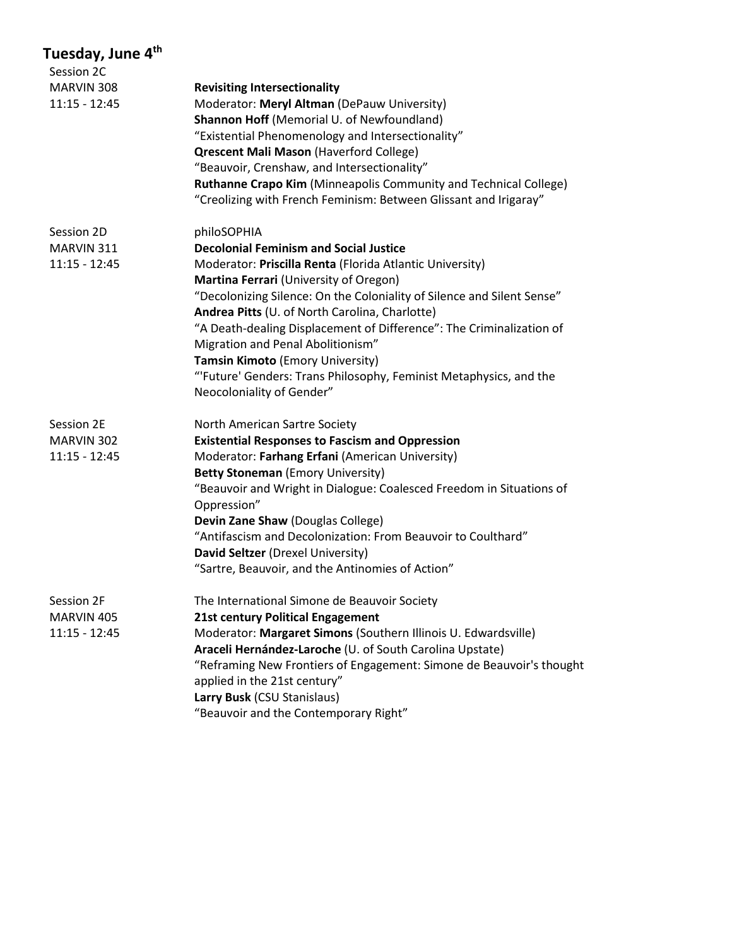| Session 2C      |                                                                        |
|-----------------|------------------------------------------------------------------------|
| MARVIN 308      | <b>Revisiting Intersectionality</b>                                    |
| $11:15 - 12:45$ | Moderator: Meryl Altman (DePauw University)                            |
|                 | Shannon Hoff (Memorial U. of Newfoundland)                             |
|                 | "Existential Phenomenology and Intersectionality"                      |
|                 | <b>Qrescent Mali Mason (Haverford College)</b>                         |
|                 | "Beauvoir, Crenshaw, and Intersectionality"                            |
|                 | Ruthanne Crapo Kim (Minneapolis Community and Technical College)       |
|                 | "Creolizing with French Feminism: Between Glissant and Irigaray"       |
| Session 2D      | philoSOPHIA                                                            |
| MARVIN 311      | <b>Decolonial Feminism and Social Justice</b>                          |
| $11:15 - 12:45$ | Moderator: Priscilla Renta (Florida Atlantic University)               |
|                 | Martina Ferrari (University of Oregon)                                 |
|                 | "Decolonizing Silence: On the Coloniality of Silence and Silent Sense" |
|                 | Andrea Pitts (U. of North Carolina, Charlotte)                         |
|                 | "A Death-dealing Displacement of Difference": The Criminalization of   |
|                 | Migration and Penal Abolitionism"                                      |
|                 | Tamsin Kimoto (Emory University)                                       |
|                 | "Future' Genders: Trans Philosophy, Feminist Metaphysics, and the      |
|                 | Neocoloniality of Gender"                                              |
| Session 2E      | North American Sartre Society                                          |
| MARVIN 302      | <b>Existential Responses to Fascism and Oppression</b>                 |
| $11:15 - 12:45$ | Moderator: Farhang Erfani (American University)                        |
|                 | <b>Betty Stoneman (Emory University)</b>                               |
|                 | "Beauvoir and Wright in Dialogue: Coalesced Freedom in Situations of   |
|                 | Oppression"                                                            |
|                 | Devin Zane Shaw (Douglas College)                                      |
|                 | "Antifascism and Decolonization: From Beauvoir to Coulthard"           |
|                 | David Seltzer (Drexel University)                                      |
|                 | "Sartre, Beauvoir, and the Antinomies of Action"                       |
| Session 2F      | The International Simone de Beauvoir Society                           |
| MARVIN 405      | 21st century Political Engagement                                      |
| $11:15 - 12:45$ | Moderator: Margaret Simons (Southern Illinois U. Edwardsville)         |
|                 | Araceli Hernández-Laroche (U. of South Carolina Upstate)               |
|                 | "Reframing New Frontiers of Engagement: Simone de Beauvoir's thought   |
|                 | applied in the 21st century"                                           |
|                 | Larry Busk (CSU Stanislaus)                                            |
|                 | "Beauvoir and the Contemporary Right"                                  |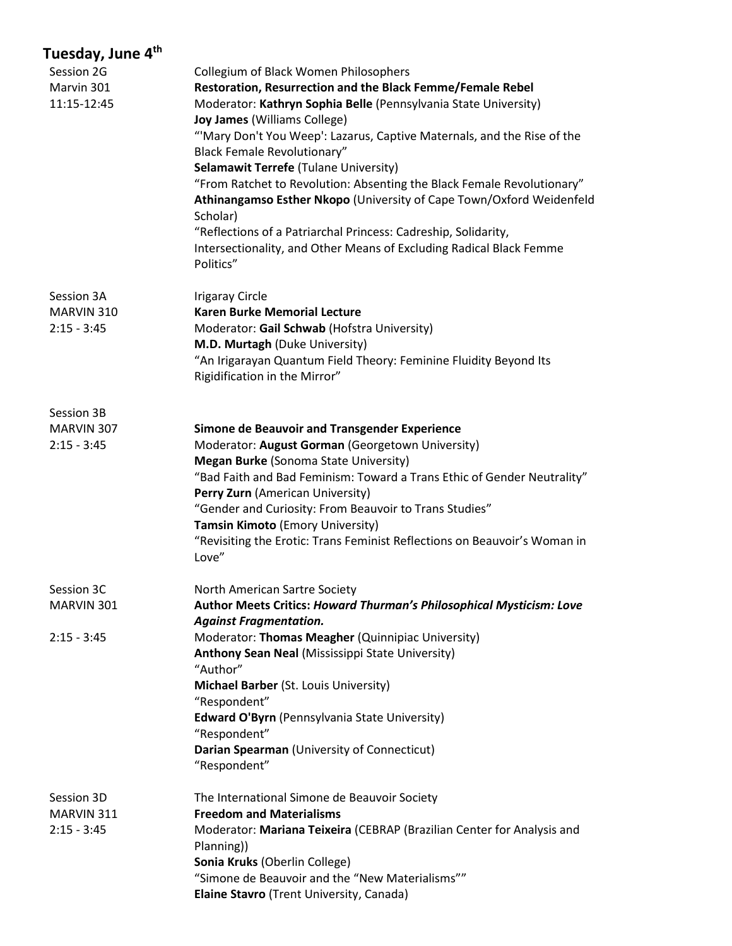| Session 2G<br>Marvin 301<br>11:15-12:45   | <b>Collegium of Black Women Philosophers</b><br>Restoration, Resurrection and the Black Femme/Female Rebel<br>Moderator: Kathryn Sophia Belle (Pennsylvania State University)<br>Joy James (Williams College)<br>"Mary Don't You Weep': Lazarus, Captive Maternals, and the Rise of the<br><b>Black Female Revolutionary"</b><br><b>Selamawit Terrefe (Tulane University)</b>                                                                        |
|-------------------------------------------|------------------------------------------------------------------------------------------------------------------------------------------------------------------------------------------------------------------------------------------------------------------------------------------------------------------------------------------------------------------------------------------------------------------------------------------------------|
|                                           | "From Ratchet to Revolution: Absenting the Black Female Revolutionary"<br>Athinangamso Esther Nkopo (University of Cape Town/Oxford Weidenfeld<br>Scholar)<br>"Reflections of a Patriarchal Princess: Cadreship, Solidarity,<br>Intersectionality, and Other Means of Excluding Radical Black Femme<br>Politics"                                                                                                                                     |
| Session 3A<br>MARVIN 310<br>$2:15 - 3:45$ | <b>Irigaray Circle</b><br><b>Karen Burke Memorial Lecture</b><br>Moderator: Gail Schwab (Hofstra University)<br>M.D. Murtagh (Duke University)<br>"An Irigarayan Quantum Field Theory: Feminine Fluidity Beyond Its<br>Rigidification in the Mirror"                                                                                                                                                                                                 |
| Session 3B<br>MARVIN 307<br>$2:15 - 3:45$ | Simone de Beauvoir and Transgender Experience<br>Moderator: August Gorman (Georgetown University)<br><b>Megan Burke (Sonoma State University)</b><br>"Bad Faith and Bad Feminism: Toward a Trans Ethic of Gender Neutrality"<br>Perry Zurn (American University)<br>"Gender and Curiosity: From Beauvoir to Trans Studies"<br>Tamsin Kimoto (Emory University)<br>"Revisiting the Erotic: Trans Feminist Reflections on Beauvoir's Woman in<br>Love" |
| Session 3C<br>MARVIN 301                  | North American Sartre Society<br>Author Meets Critics: Howard Thurman's Philosophical Mysticism: Love<br><b>Against Fragmentation.</b>                                                                                                                                                                                                                                                                                                               |
| $2:15 - 3:45$                             | Moderator: Thomas Meagher (Quinnipiac University)<br>Anthony Sean Neal (Mississippi State University)<br>"Author"<br>Michael Barber (St. Louis University)<br>"Respondent"<br><b>Edward O'Byrn</b> (Pennsylvania State University)<br>"Respondent"<br>Darian Spearman (University of Connecticut)<br>"Respondent"                                                                                                                                    |
| Session 3D<br>MARVIN 311<br>$2:15 - 3:45$ | The International Simone de Beauvoir Society<br><b>Freedom and Materialisms</b><br>Moderator: Mariana Teixeira (CEBRAP (Brazilian Center for Analysis and<br>Planning))<br>Sonia Kruks (Oberlin College)<br>"Simone de Beauvoir and the "New Materialisms""<br>Elaine Stavro (Trent University, Canada)                                                                                                                                              |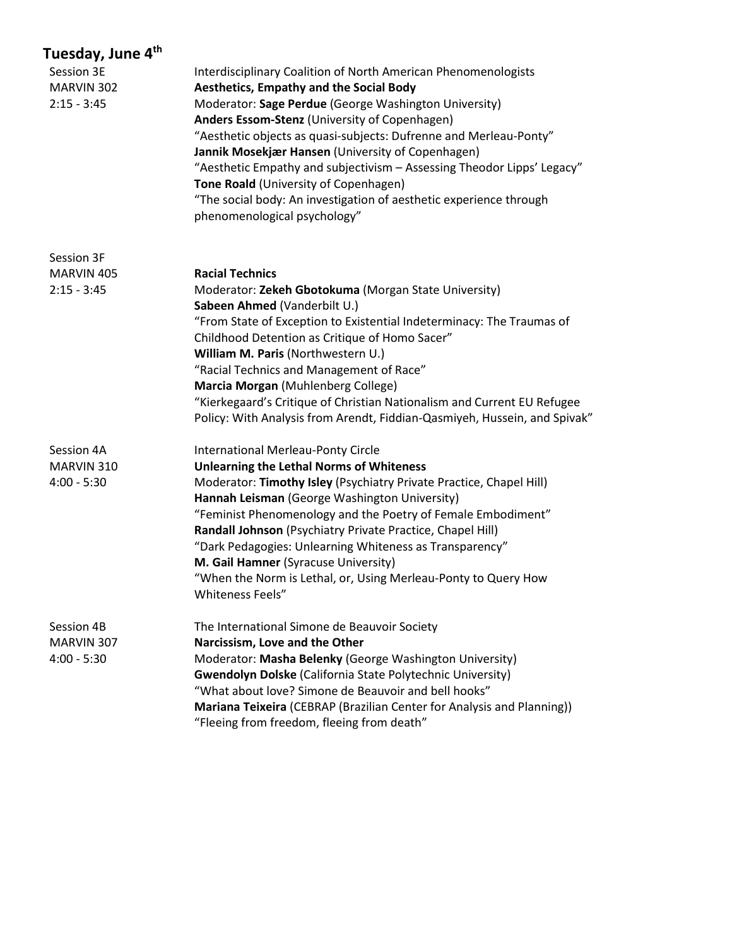| Tuesday, June 4 <sup>th</sup> |                                                                                                        |
|-------------------------------|--------------------------------------------------------------------------------------------------------|
| Session 3E                    | Interdisciplinary Coalition of North American Phenomenologists                                         |
| MARVIN 302                    | <b>Aesthetics, Empathy and the Social Body</b>                                                         |
| $2:15 - 3:45$                 | Moderator: Sage Perdue (George Washington University)                                                  |
|                               | Anders Essom-Stenz (University of Copenhagen)                                                          |
|                               | "Aesthetic objects as quasi-subjects: Dufrenne and Merleau-Ponty"                                      |
|                               | Jannik Mosekjær Hansen (University of Copenhagen)                                                      |
|                               | "Aesthetic Empathy and subjectivism - Assessing Theodor Lipps' Legacy"                                 |
|                               | Tone Roald (University of Copenhagen)                                                                  |
|                               | "The social body: An investigation of aesthetic experience through                                     |
|                               | phenomenological psychology"                                                                           |
| Session 3F                    |                                                                                                        |
| MARVIN 405                    | <b>Racial Technics</b>                                                                                 |
| $2:15 - 3:45$                 | Moderator: Zekeh Gbotokuma (Morgan State University)                                                   |
|                               | Sabeen Ahmed (Vanderbilt U.)                                                                           |
|                               | "From State of Exception to Existential Indeterminacy: The Traumas of                                  |
|                               | Childhood Detention as Critique of Homo Sacer"                                                         |
|                               | William M. Paris (Northwestern U.)                                                                     |
|                               | "Racial Technics and Management of Race"                                                               |
|                               | Marcia Morgan (Muhlenberg College)                                                                     |
|                               | "Kierkegaard's Critique of Christian Nationalism and Current EU Refugee                                |
|                               | Policy: With Analysis from Arendt, Fiddian-Qasmiyeh, Hussein, and Spivak"                              |
| Session 4A                    | <b>International Merleau-Ponty Circle</b>                                                              |
| MARVIN 310                    | <b>Unlearning the Lethal Norms of Whiteness</b>                                                        |
| $4:00 - 5:30$                 | Moderator: Timothy Isley (Psychiatry Private Practice, Chapel Hill)                                    |
|                               | Hannah Leisman (George Washington University)                                                          |
|                               | "Feminist Phenomenology and the Poetry of Female Embodiment"                                           |
|                               | Randall Johnson (Psychiatry Private Practice, Chapel Hill)                                             |
|                               | "Dark Pedagogies: Unlearning Whiteness as Transparency"                                                |
|                               | M. Gail Hamner (Syracuse University)<br>"When the Norm is Lethal, or, Using Merleau-Ponty to Query How |
|                               | Whiteness Feels"                                                                                       |
| Session 4B                    | The International Simone de Beauvoir Society                                                           |
| MARVIN 307                    | Narcissism, Love and the Other                                                                         |
| $4:00 - 5:30$                 | Moderator: Masha Belenky (George Washington University)                                                |
|                               | <b>Gwendolyn Dolske (California State Polytechnic University)</b>                                      |
|                               | "What about love? Simone de Beauvoir and bell hooks"                                                   |
|                               | Mariana Teixeira (CEBRAP (Brazilian Center for Analysis and Planning))                                 |
|                               | "Fleeing from freedom, fleeing from death"                                                             |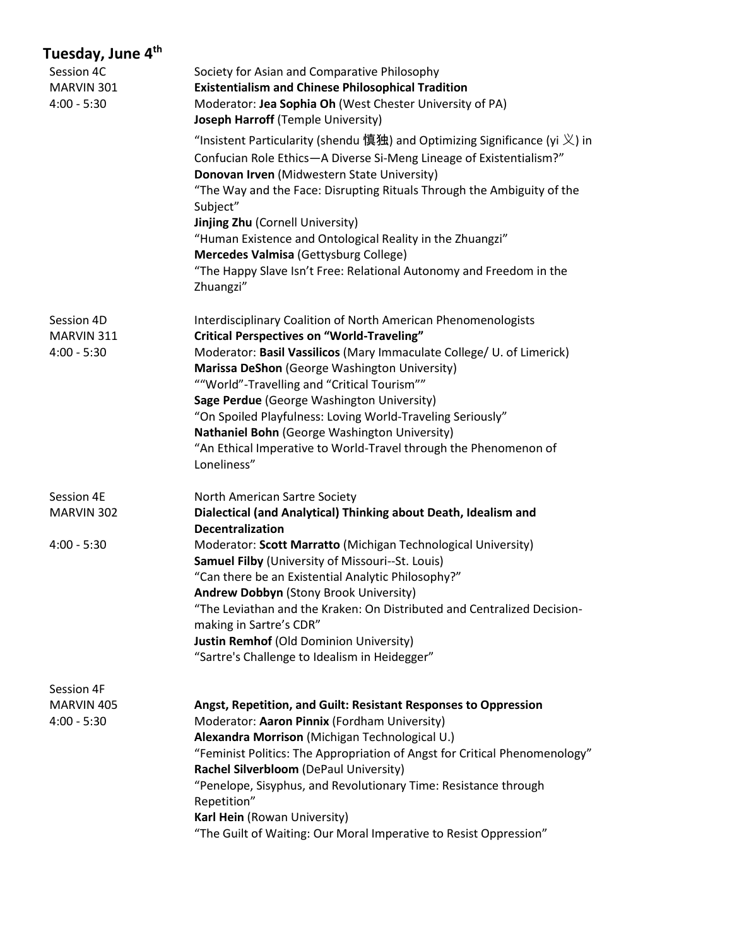| Session 4C<br>MARVIN 301<br>$4:00 - 5:30$ | Society for Asian and Comparative Philosophy<br><b>Existentialism and Chinese Philosophical Tradition</b><br>Moderator: Jea Sophia Oh (West Chester University of PA)<br>Joseph Harroff (Temple University)<br>"Insistent Particularity (shendu 慎独) and Optimizing Significance (yi $\chi$ ) in<br>Confucian Role Ethics-A Diverse Si-Meng Lineage of Existentialism?"<br>Donovan Irven (Midwestern State University)<br>"The Way and the Face: Disrupting Rituals Through the Ambiguity of the<br>Subject"<br><b>Jinjing Zhu (Cornell University)</b><br>"Human Existence and Ontological Reality in the Zhuangzi"<br>Mercedes Valmisa (Gettysburg College)<br>"The Happy Slave Isn't Free: Relational Autonomy and Freedom in the<br>Zhuangzi" |
|-------------------------------------------|--------------------------------------------------------------------------------------------------------------------------------------------------------------------------------------------------------------------------------------------------------------------------------------------------------------------------------------------------------------------------------------------------------------------------------------------------------------------------------------------------------------------------------------------------------------------------------------------------------------------------------------------------------------------------------------------------------------------------------------------------|
| Session 4D<br>MARVIN 311<br>$4:00 - 5:30$ | Interdisciplinary Coalition of North American Phenomenologists<br><b>Critical Perspectives on "World-Traveling"</b><br>Moderator: Basil Vassilicos (Mary Immaculate College/ U. of Limerick)<br>Marissa DeShon (George Washington University)<br>""World"-Travelling and "Critical Tourism""<br>Sage Perdue (George Washington University)<br>"On Spoiled Playfulness: Loving World-Traveling Seriously"<br>Nathaniel Bohn (George Washington University)<br>"An Ethical Imperative to World-Travel through the Phenomenon of<br>Loneliness"                                                                                                                                                                                                     |
| Session 4E<br>MARVIN 302                  | North American Sartre Society<br>Dialectical (and Analytical) Thinking about Death, Idealism and                                                                                                                                                                                                                                                                                                                                                                                                                                                                                                                                                                                                                                                 |
| $4:00 - 5:30$                             | <b>Decentralization</b><br>Moderator: Scott Marratto (Michigan Technological University)<br>Samuel Filby (University of Missouri--St. Louis)<br>"Can there be an Existential Analytic Philosophy?"<br>Andrew Dobbyn (Stony Brook University)<br>"The Leviathan and the Kraken: On Distributed and Centralized Decision-<br>making in Sartre's CDR"<br><b>Justin Remhof (Old Dominion University)</b><br>"Sartre's Challenge to Idealism in Heidegger"                                                                                                                                                                                                                                                                                            |
| Session 4F                                |                                                                                                                                                                                                                                                                                                                                                                                                                                                                                                                                                                                                                                                                                                                                                  |
| MARVIN 405<br>$4:00 - 5:30$               | Angst, Repetition, and Guilt: Resistant Responses to Oppression<br>Moderator: Aaron Pinnix (Fordham University)<br>Alexandra Morrison (Michigan Technological U.)<br>"Feminist Politics: The Appropriation of Angst for Critical Phenomenology"<br>Rachel Silverbloom (DePaul University)<br>"Penelope, Sisyphus, and Revolutionary Time: Resistance through<br>Repetition"<br>Karl Hein (Rowan University)<br>"The Guilt of Waiting: Our Moral Imperative to Resist Oppression"                                                                                                                                                                                                                                                                 |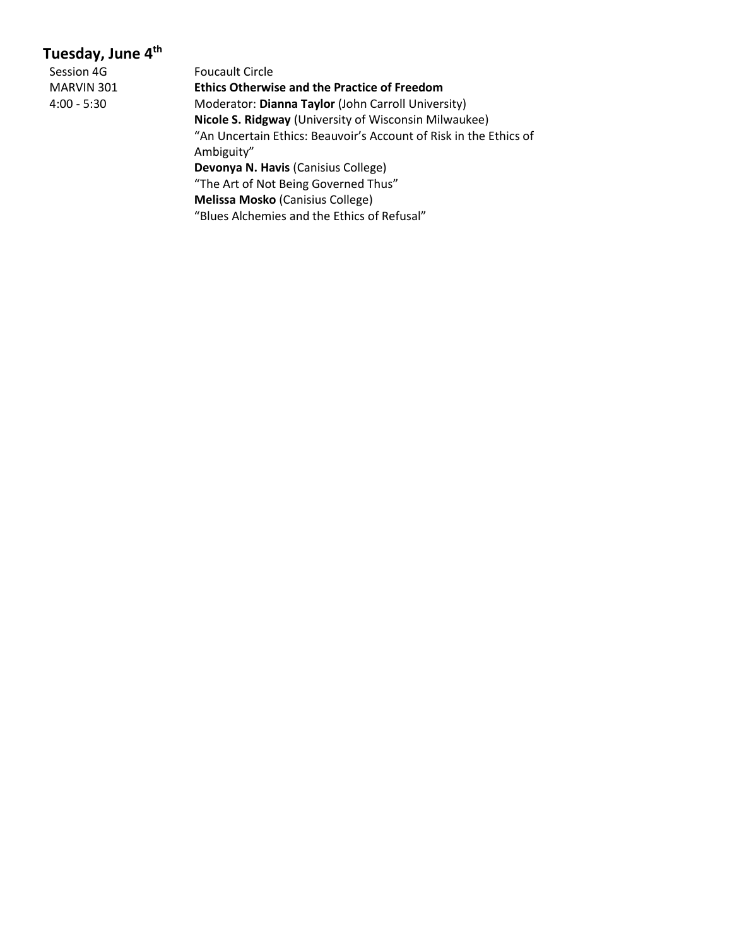| Session 4G  |  |
|-------------|--|
| MARVIN 301  |  |
| 4:00 - 5:30 |  |

Foucault Circle **Ethics Otherwise and the Practice of Freedom** Moderator: Dianna Taylor (John Carroll University) **Nicole S. Ridgway** (University of Wisconsin Milwaukee) "An Uncertain Ethics: Beauvoir's Account of Risk in the Ethics of Ambiguity" **Devonya N. Havis** (Canisius College) "The Art of Not Being Governed Thus" **Melissa Mosko** (Canisius College) "Blues Alchemies and the Ethics of Refusal"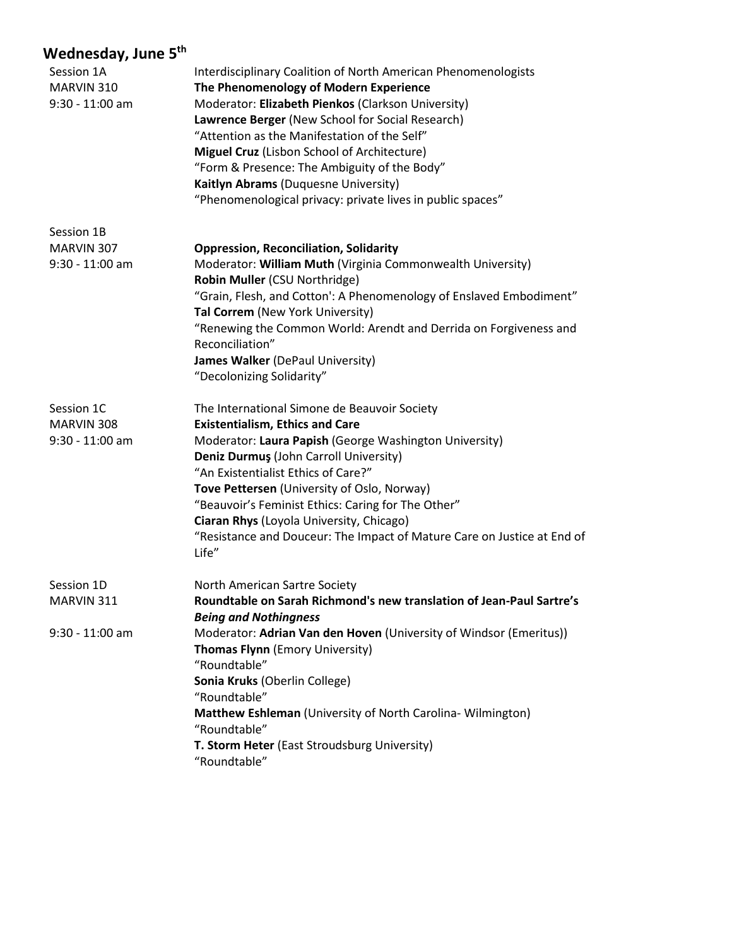| Session 1A<br>MARVIN 310<br>$9:30 - 11:00$ am | Interdisciplinary Coalition of North American Phenomenologists<br>The Phenomenology of Modern Experience<br>Moderator: Elizabeth Pienkos (Clarkson University)<br>Lawrence Berger (New School for Social Research)<br>"Attention as the Manifestation of the Self"<br>Miguel Cruz (Lisbon School of Architecture)<br>"Form & Presence: The Ambiguity of the Body"<br>Kaitlyn Abrams (Duquesne University)<br>"Phenomenological privacy: private lives in public spaces" |
|-----------------------------------------------|-------------------------------------------------------------------------------------------------------------------------------------------------------------------------------------------------------------------------------------------------------------------------------------------------------------------------------------------------------------------------------------------------------------------------------------------------------------------------|
| Session 1B                                    |                                                                                                                                                                                                                                                                                                                                                                                                                                                                         |
| MARVIN 307<br>9:30 - 11:00 am                 | <b>Oppression, Reconciliation, Solidarity</b><br>Moderator: William Muth (Virginia Commonwealth University)<br>Robin Muller (CSU Northridge)<br>"Grain, Flesh, and Cotton': A Phenomenology of Enslaved Embodiment"<br>Tal Correm (New York University)<br>"Renewing the Common World: Arendt and Derrida on Forgiveness and<br>Reconciliation"<br>James Walker (DePaul University)<br>"Decolonizing Solidarity"                                                        |
| Session 1C<br>MARVIN 308<br>$9:30 - 11:00$ am | The International Simone de Beauvoir Society<br><b>Existentialism, Ethics and Care</b><br>Moderator: Laura Papish (George Washington University)<br>Deniz Durmuş (John Carroll University)<br>"An Existentialist Ethics of Care?"<br>Tove Pettersen (University of Oslo, Norway)<br>"Beauvoir's Feminist Ethics: Caring for The Other"<br>Ciaran Rhys (Loyola University, Chicago)<br>"Resistance and Douceur: The Impact of Mature Care on Justice at End of<br>Life"  |
| Session 1D                                    | North American Sartre Society                                                                                                                                                                                                                                                                                                                                                                                                                                           |
| MARVIN 311                                    | Roundtable on Sarah Richmond's new translation of Jean-Paul Sartre's<br><b>Being and Nothingness</b>                                                                                                                                                                                                                                                                                                                                                                    |
| $9:30 - 11:00$ am                             | Moderator: Adrian Van den Hoven (University of Windsor (Emeritus))<br>Thomas Flynn (Emory University)<br>"Roundtable"<br>Sonia Kruks (Oberlin College)<br>"Roundtable"<br>Matthew Eshleman (University of North Carolina-Wilmington)<br>"Roundtable"<br>T. Storm Heter (East Stroudsburg University)<br>"Roundtable"                                                                                                                                                    |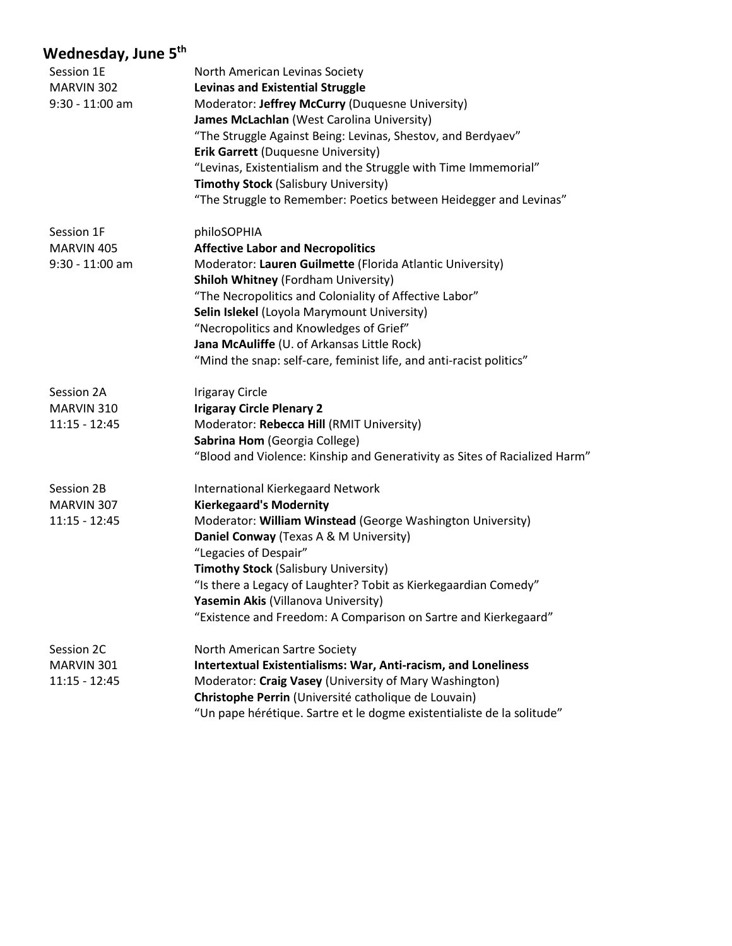| Session 1E<br>MARVIN 302<br>$9:30 - 11:00$ am | North American Levinas Society<br><b>Levinas and Existential Struggle</b><br>Moderator: Jeffrey McCurry (Duquesne University)<br>James McLachlan (West Carolina University)<br>"The Struggle Against Being: Levinas, Shestov, and Berdyaev"<br><b>Erik Garrett (Duquesne University)</b><br>"Levinas, Existentialism and the Struggle with Time Immemorial"<br><b>Timothy Stock (Salisbury University)</b><br>"The Struggle to Remember: Poetics between Heidegger and Levinas" |
|-----------------------------------------------|---------------------------------------------------------------------------------------------------------------------------------------------------------------------------------------------------------------------------------------------------------------------------------------------------------------------------------------------------------------------------------------------------------------------------------------------------------------------------------|
| Session 1F                                    | philoSOPHIA                                                                                                                                                                                                                                                                                                                                                                                                                                                                     |
| MARVIN 405                                    | <b>Affective Labor and Necropolitics</b>                                                                                                                                                                                                                                                                                                                                                                                                                                        |
| $9:30 - 11:00$ am                             | Moderator: Lauren Guilmette (Florida Atlantic University)                                                                                                                                                                                                                                                                                                                                                                                                                       |
|                                               | <b>Shiloh Whitney (Fordham University)</b>                                                                                                                                                                                                                                                                                                                                                                                                                                      |
|                                               | "The Necropolitics and Coloniality of Affective Labor"                                                                                                                                                                                                                                                                                                                                                                                                                          |
|                                               | Selin Islekel (Loyola Marymount University)                                                                                                                                                                                                                                                                                                                                                                                                                                     |
|                                               | "Necropolitics and Knowledges of Grief"                                                                                                                                                                                                                                                                                                                                                                                                                                         |
|                                               | Jana McAuliffe (U. of Arkansas Little Rock)                                                                                                                                                                                                                                                                                                                                                                                                                                     |
|                                               | "Mind the snap: self-care, feminist life, and anti-racist politics"                                                                                                                                                                                                                                                                                                                                                                                                             |
| Session 2A                                    | <b>Irigaray Circle</b>                                                                                                                                                                                                                                                                                                                                                                                                                                                          |
| MARVIN 310                                    | <b>Irigaray Circle Plenary 2</b>                                                                                                                                                                                                                                                                                                                                                                                                                                                |
| $11:15 - 12:45$                               | Moderator: Rebecca Hill (RMIT University)                                                                                                                                                                                                                                                                                                                                                                                                                                       |
|                                               | Sabrina Hom (Georgia College)                                                                                                                                                                                                                                                                                                                                                                                                                                                   |
|                                               | "Blood and Violence: Kinship and Generativity as Sites of Racialized Harm"                                                                                                                                                                                                                                                                                                                                                                                                      |
| Session 2B                                    | <b>International Kierkegaard Network</b>                                                                                                                                                                                                                                                                                                                                                                                                                                        |
| MARVIN 307                                    | <b>Kierkegaard's Modernity</b>                                                                                                                                                                                                                                                                                                                                                                                                                                                  |
| $11:15 - 12:45$                               | Moderator: William Winstead (George Washington University)                                                                                                                                                                                                                                                                                                                                                                                                                      |
|                                               | Daniel Conway (Texas A & M University)                                                                                                                                                                                                                                                                                                                                                                                                                                          |
|                                               | "Legacies of Despair"                                                                                                                                                                                                                                                                                                                                                                                                                                                           |
|                                               | <b>Timothy Stock (Salisbury University)</b>                                                                                                                                                                                                                                                                                                                                                                                                                                     |
|                                               | "Is there a Legacy of Laughter? Tobit as Kierkegaardian Comedy"                                                                                                                                                                                                                                                                                                                                                                                                                 |
|                                               | <b>Yasemin Akis (Villanova University)</b>                                                                                                                                                                                                                                                                                                                                                                                                                                      |
|                                               | "Existence and Freedom: A Comparison on Sartre and Kierkegaard"                                                                                                                                                                                                                                                                                                                                                                                                                 |
| Session 2C                                    | North American Sartre Society                                                                                                                                                                                                                                                                                                                                                                                                                                                   |
| MARVIN 301                                    | <b>Intertextual Existentialisms: War, Anti-racism, and Loneliness</b>                                                                                                                                                                                                                                                                                                                                                                                                           |
| $11:15 - 12:45$                               | Moderator: Craig Vasey (University of Mary Washington)                                                                                                                                                                                                                                                                                                                                                                                                                          |
|                                               | Christophe Perrin (Université catholique de Louvain)                                                                                                                                                                                                                                                                                                                                                                                                                            |
|                                               | "Un pape hérétique. Sartre et le dogme existentialiste de la solitude"                                                                                                                                                                                                                                                                                                                                                                                                          |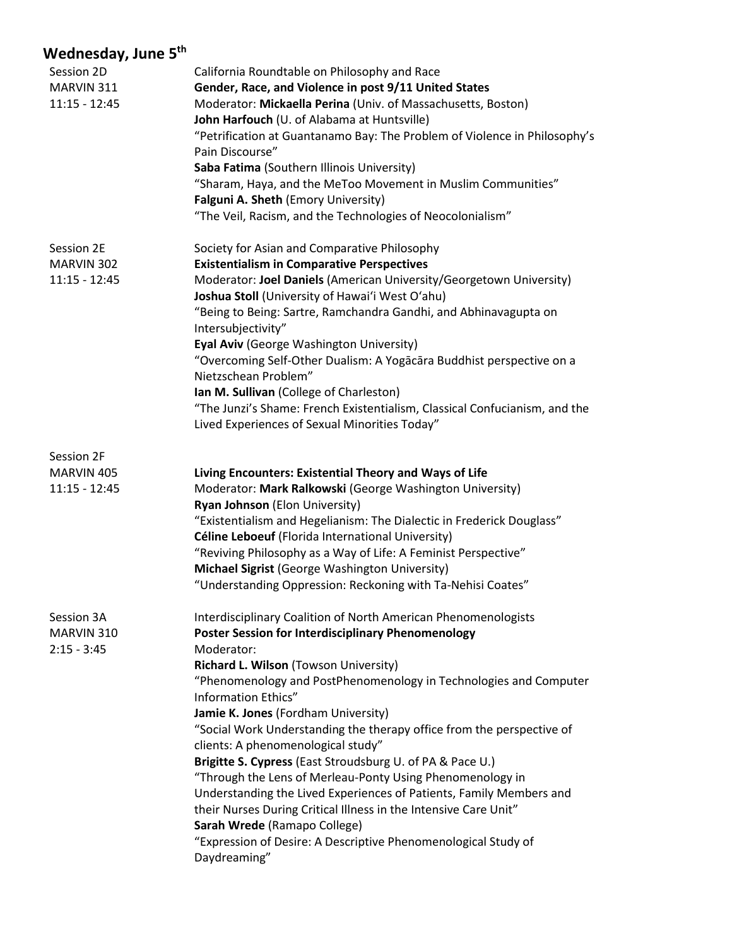| Session 2D      | California Roundtable on Philosophy and Race                               |
|-----------------|----------------------------------------------------------------------------|
| MARVIN 311      | Gender, Race, and Violence in post 9/11 United States                      |
| $11:15 - 12:45$ | Moderator: Mickaella Perina (Univ. of Massachusetts, Boston)               |
|                 | John Harfouch (U. of Alabama at Huntsville)                                |
|                 | "Petrification at Guantanamo Bay: The Problem of Violence in Philosophy's  |
|                 | Pain Discourse"                                                            |
|                 | Saba Fatima (Southern Illinois University)                                 |
|                 | "Sharam, Haya, and the MeToo Movement in Muslim Communities"               |
|                 | Falguni A. Sheth (Emory University)                                        |
|                 | "The Veil, Racism, and the Technologies of Neocolonialism"                 |
| Session 2E      | Society for Asian and Comparative Philosophy                               |
| MARVIN 302      | <b>Existentialism in Comparative Perspectives</b>                          |
| $11:15 - 12:45$ | Moderator: Joel Daniels (American University/Georgetown University)        |
|                 | Joshua Stoll (University of Hawai'i West O'ahu)                            |
|                 | "Being to Being: Sartre, Ramchandra Gandhi, and Abhinavagupta on           |
|                 | Intersubjectivity"                                                         |
|                 | Eyal Aviv (George Washington University)                                   |
|                 | "Overcoming Self-Other Dualism: A Yogacara Buddhist perspective on a       |
|                 | Nietzschean Problem"                                                       |
|                 | Ian M. Sullivan (College of Charleston)                                    |
|                 | "The Junzi's Shame: French Existentialism, Classical Confucianism, and the |
|                 | Lived Experiences of Sexual Minorities Today"                              |
| Session 2F      |                                                                            |
| MARVIN 405      | Living Encounters: Existential Theory and Ways of Life                     |
| $11:15 - 12:45$ | Moderator: Mark Ralkowski (George Washington University)                   |
|                 | Ryan Johnson (Elon University)                                             |
|                 | "Existentialism and Hegelianism: The Dialectic in Frederick Douglass"      |
|                 | Céline Leboeuf (Florida International University)                          |
|                 | "Reviving Philosophy as a Way of Life: A Feminist Perspective"             |
|                 | Michael Sigrist (George Washington University)                             |
|                 | "Understanding Oppression: Reckoning with Ta-Nehisi Coates"                |
| Session 3A      | Interdisciplinary Coalition of North American Phenomenologists             |
| MARVIN 310      | <b>Poster Session for Interdisciplinary Phenomenology</b>                  |
| $2:15 - 3:45$   | Moderator:                                                                 |
|                 | Richard L. Wilson (Towson University)                                      |
|                 | "Phenomenology and PostPhenomenology in Technologies and Computer          |
|                 | Information Ethics"                                                        |
|                 | Jamie K. Jones (Fordham University)                                        |
|                 | "Social Work Understanding the therapy office from the perspective of      |
|                 | clients: A phenomenological study"                                         |
|                 | Brigitte S. Cypress (East Stroudsburg U. of PA & Pace U.)                  |
|                 | "Through the Lens of Merleau-Ponty Using Phenomenology in                  |
|                 | Understanding the Lived Experiences of Patients, Family Members and        |
|                 | their Nurses During Critical Illness in the Intensive Care Unit"           |
|                 | Sarah Wrede (Ramapo College)                                               |
|                 | "Expression of Desire: A Descriptive Phenomenological Study of             |
|                 | Daydreaming"                                                               |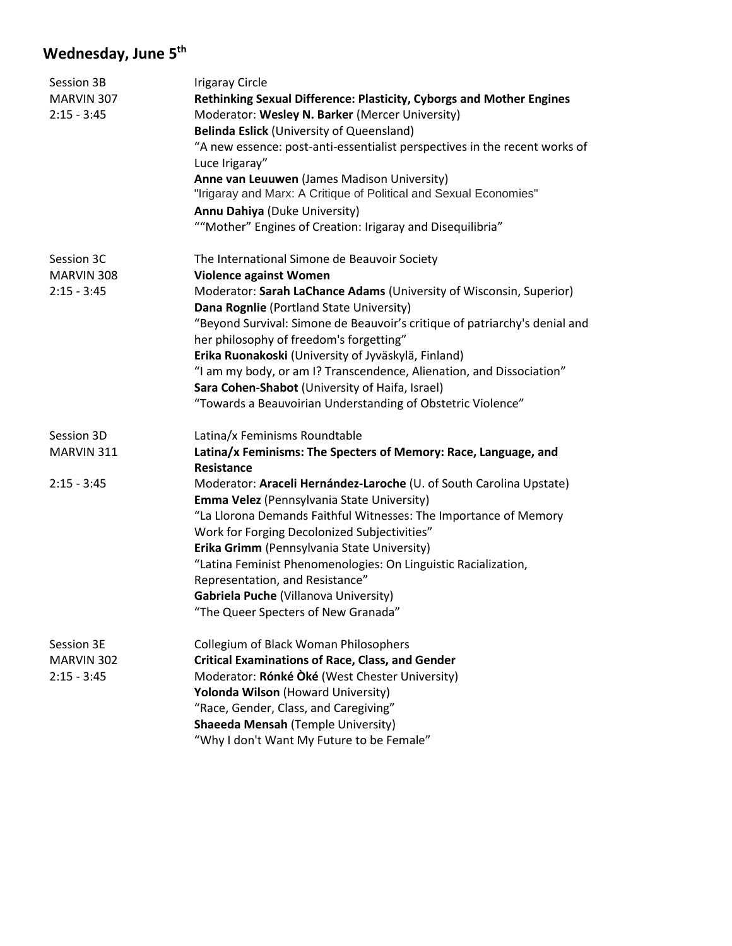| Session 3B    | <b>Irigaray Circle</b>                                                                                          |
|---------------|-----------------------------------------------------------------------------------------------------------------|
| MARVIN 307    | Rethinking Sexual Difference: Plasticity, Cyborgs and Mother Engines                                            |
| $2:15 - 3:45$ | Moderator: Wesley N. Barker (Mercer University)                                                                 |
|               | Belinda Eslick (University of Queensland)                                                                       |
|               | "A new essence: post-anti-essentialist perspectives in the recent works of                                      |
|               | Luce Irigaray"                                                                                                  |
|               | Anne van Leuuwen (James Madison University)                                                                     |
|               | "Irigaray and Marx: A Critique of Political and Sexual Economies"                                               |
|               | Annu Dahiya (Duke University)                                                                                   |
|               | ""Mother" Engines of Creation: Irigaray and Disequilibria"                                                      |
| Session 3C    | The International Simone de Beauvoir Society                                                                    |
| MARVIN 308    | <b>Violence against Women</b>                                                                                   |
| $2:15 - 3:45$ | Moderator: Sarah LaChance Adams (University of Wisconsin, Superior)<br>Dana Rognlie (Portland State University) |
|               | "Beyond Survival: Simone de Beauvoir's critique of patriarchy's denial and                                      |
|               | her philosophy of freedom's forgetting"                                                                         |
|               | Erika Ruonakoski (University of Jyväskylä, Finland)                                                             |
|               | "I am my body, or am I? Transcendence, Alienation, and Dissociation"                                            |
|               | Sara Cohen-Shabot (University of Haifa, Israel)                                                                 |
|               | "Towards a Beauvoirian Understanding of Obstetric Violence"                                                     |
| Session 3D    | Latina/x Feminisms Roundtable                                                                                   |
| MARVIN 311    | Latina/x Feminisms: The Specters of Memory: Race, Language, and                                                 |
|               | <b>Resistance</b>                                                                                               |
| $2:15 - 3:45$ | Moderator: Araceli Hernández-Laroche (U. of South Carolina Upstate)                                             |
|               | Emma Velez (Pennsylvania State University)                                                                      |
|               | "La Llorona Demands Faithful Witnesses: The Importance of Memory                                                |
|               | Work for Forging Decolonized Subjectivities"                                                                    |
|               | Erika Grimm (Pennsylvania State University)                                                                     |
|               | "Latina Feminist Phenomenologies: On Linguistic Racialization,                                                  |
|               | Representation, and Resistance"                                                                                 |
|               | Gabriela Puche (Villanova University)                                                                           |
|               | The Queer Specters of New Granada"                                                                              |
| Session 3E    | Collegium of Black Woman Philosophers                                                                           |
| MARVIN 302    | <b>Critical Examinations of Race, Class, and Gender</b>                                                         |
| $2:15 - 3:45$ | Moderator: Rónké Òké (West Chester University)                                                                  |
|               | Yolonda Wilson (Howard University)                                                                              |
|               | "Race, Gender, Class, and Caregiving"                                                                           |
|               | <b>Shaeeda Mensah (Temple University)</b>                                                                       |
|               | "Why I don't Want My Future to be Female"                                                                       |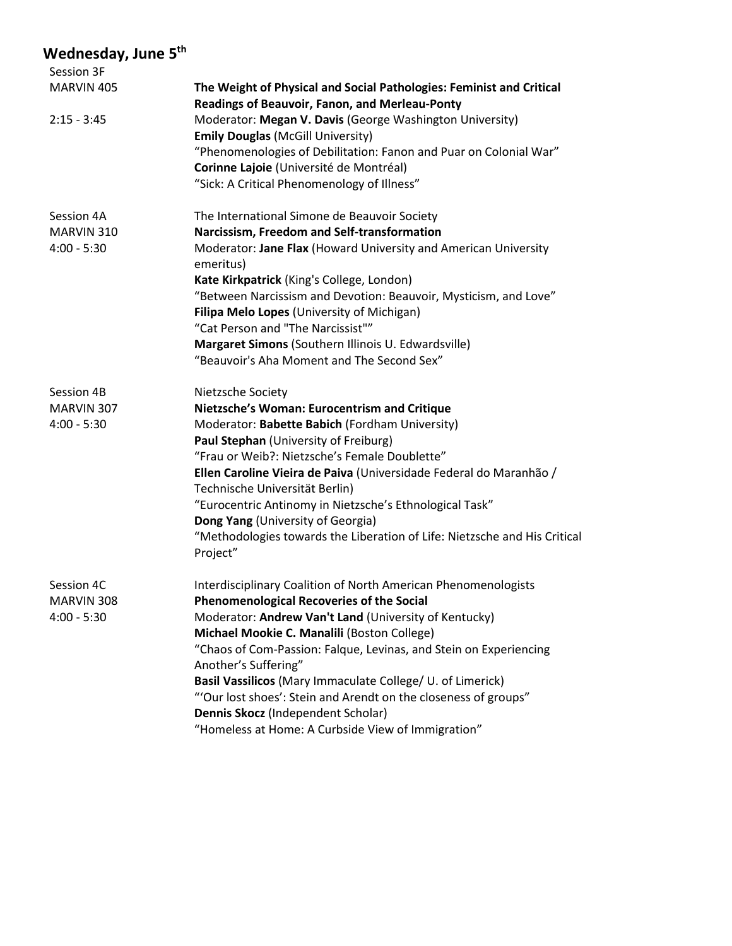| Session 3F                  |                                                                                                                               |
|-----------------------------|-------------------------------------------------------------------------------------------------------------------------------|
| MARVIN 405                  | The Weight of Physical and Social Pathologies: Feminist and Critical                                                          |
|                             | Readings of Beauvoir, Fanon, and Merleau-Ponty                                                                                |
| $2:15 - 3:45$               | Moderator: Megan V. Davis (George Washington University)                                                                      |
|                             | <b>Emily Douglas (McGill University)</b>                                                                                      |
|                             | "Phenomenologies of Debilitation: Fanon and Puar on Colonial War"                                                             |
|                             | Corinne Lajoie (Université de Montréal)                                                                                       |
|                             | "Sick: A Critical Phenomenology of Illness"                                                                                   |
| Session 4A                  | The International Simone de Beauvoir Society                                                                                  |
| MARVIN 310                  | Narcissism, Freedom and Self-transformation                                                                                   |
| $4:00 - 5:30$               | Moderator: Jane Flax (Howard University and American University<br>emeritus)                                                  |
|                             | Kate Kirkpatrick (King's College, London)                                                                                     |
|                             | "Between Narcissism and Devotion: Beauvoir, Mysticism, and Love"                                                              |
|                             | Filipa Melo Lopes (University of Michigan)                                                                                    |
|                             | "Cat Person and "The Narcissist""                                                                                             |
|                             | Margaret Simons (Southern Illinois U. Edwardsville)                                                                           |
|                             | "Beauvoir's Aha Moment and The Second Sex"                                                                                    |
| Session 4B                  | Nietzsche Society                                                                                                             |
| MARVIN 307                  | Nietzsche's Woman: Eurocentrism and Critique                                                                                  |
| $4:00 - 5:30$               | Moderator: Babette Babich (Fordham University)                                                                                |
|                             | Paul Stephan (University of Freiburg)                                                                                         |
|                             | "Frau or Weib?: Nietzsche's Female Doublette"                                                                                 |
|                             | Ellen Caroline Vieira de Paiva (Universidade Federal do Maranhão /                                                            |
|                             | Technische Universität Berlin)                                                                                                |
|                             | "Eurocentric Antinomy in Nietzsche's Ethnological Task"                                                                       |
|                             | Dong Yang (University of Georgia)                                                                                             |
|                             | "Methodologies towards the Liberation of Life: Nietzsche and His Critical<br>Project"                                         |
|                             |                                                                                                                               |
| Session 4C                  | Interdisciplinary Coalition of North American Phenomenologists                                                                |
| MARVIN 308<br>$4:00 - 5:30$ | <b>Phenomenological Recoveries of the Social</b>                                                                              |
|                             | Moderator: Andrew Van't Land (University of Kentucky)<br>Michael Mookie C. Manalili (Boston College)                          |
|                             |                                                                                                                               |
|                             | "Chaos of Com-Passion: Falque, Levinas, and Stein on Experiencing                                                             |
|                             | Another's Suffering"                                                                                                          |
|                             | Basil Vassilicos (Mary Immaculate College/ U. of Limerick)<br>"'Our lost shoes': Stein and Arendt on the closeness of groups" |
|                             |                                                                                                                               |
|                             | Dennis Skocz (Independent Scholar)<br>"Homeless at Home: A Curbside View of Immigration"                                      |
|                             |                                                                                                                               |